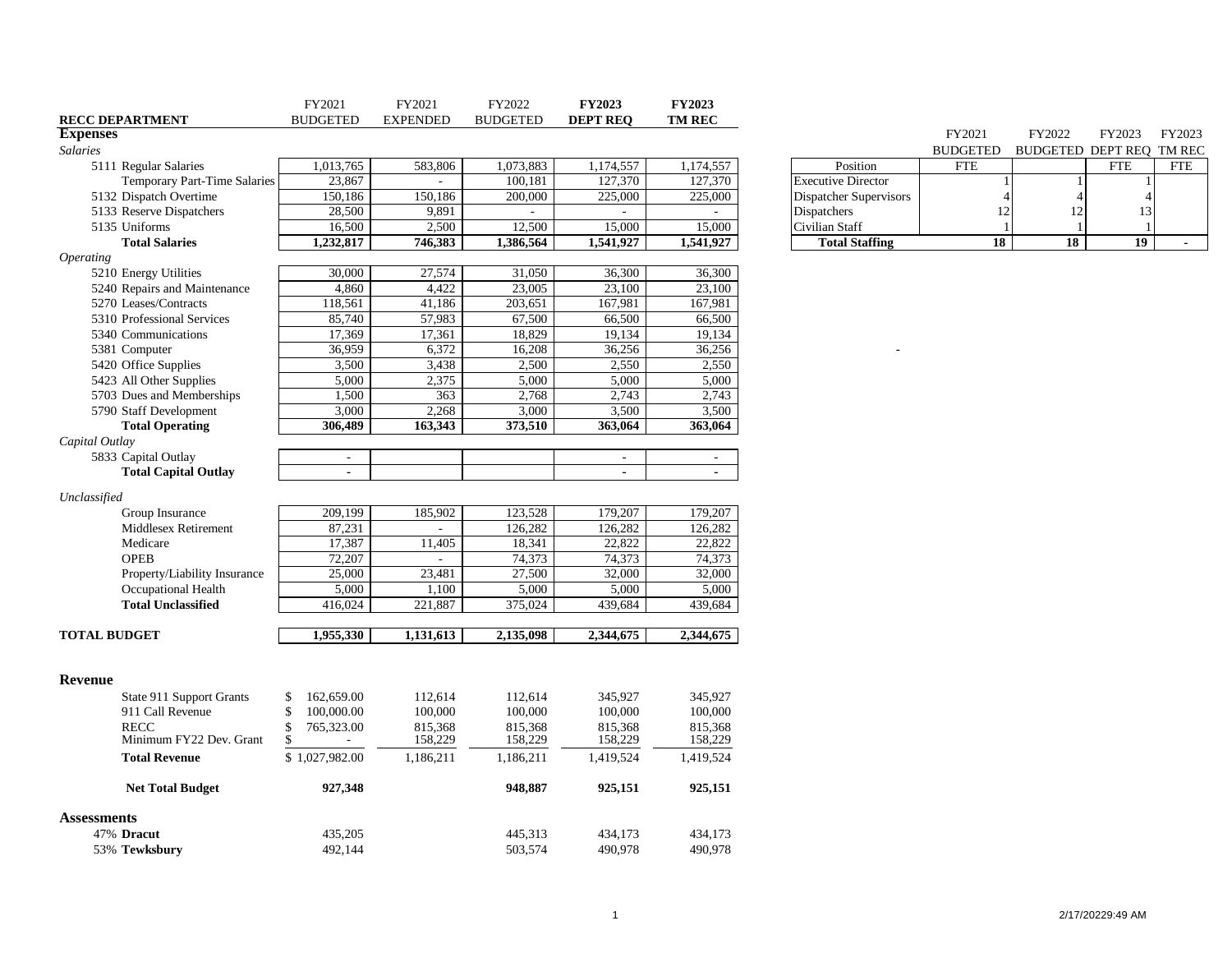| <b>BUDGETED</b><br><b>EXPENDED</b><br><b>BUDGETED</b><br><b>DEPT REQ</b><br><b>RECC DEPARTMENT</b><br><b>Expenses</b><br>FY2021<br>FY2022<br>FY2023<br>FY2023<br><b>Salaries</b><br><b>BUDGETED</b><br>BUDGETED DEPT REQ TM REC<br>1,073,883<br>1,013,765<br>583,806<br>1,174,557<br>1,174,557<br>Position<br><b>FTE</b><br><b>FTE</b><br>5111 Regular Salaries<br><b>FTE</b><br>23,867<br>100,181<br>127,370<br>127,370<br><b>Executive Director</b><br><b>Temporary Part-Time Salaries</b><br>÷<br>150,186<br>225,000<br>5132 Dispatch Overtime<br>150,186<br>200,000<br>225,000<br>Dispatcher Supervisors<br>$\overline{4}$<br>5133 Reserve Dispatchers<br>28,500<br>9,891<br>Dispatchers<br>12<br>13<br>12<br>$\sim$<br>$\sim$<br>2,500<br>12,500<br>15,000<br>5135 Uniforms<br>16,500<br>15,000<br>Civilian Staff<br>18<br>18<br>19 <sup>°</sup><br><b>Total Salaries</b><br>1,232,817<br>746,383<br>1,386,564<br>1,541,927<br>1,541,927<br><b>Total Staffing</b><br>$\sim$<br><i><b>Operating</b></i><br>30,000<br>27,574<br>36,300<br>5210 Energy Utilities<br>31,050<br>36,300<br>4,860<br>4,422<br>23,005<br>23,100<br>23,100<br>5240 Repairs and Maintenance<br>118,561<br>41,186<br>203,651<br>167,981<br>167,981<br>5270 Leases/Contracts<br>85,740<br>57,983<br>67,500<br>66,500<br>66,500<br>5310 Professional Services<br>19,134<br>5340 Communications<br>17,369<br>17,361<br>18,829<br>19,134<br>36,959<br>6,372<br>16,208<br>36,256<br>36,256<br>5381 Computer<br>5420 Office Supplies<br>3,500<br>3,438<br>2,500<br>2,550<br>2,550 |                         | FY2021 | FY2021 | FY2022 | <b>FY2023</b> | FY2023 |  |  |  |
|-------------------------------------------------------------------------------------------------------------------------------------------------------------------------------------------------------------------------------------------------------------------------------------------------------------------------------------------------------------------------------------------------------------------------------------------------------------------------------------------------------------------------------------------------------------------------------------------------------------------------------------------------------------------------------------------------------------------------------------------------------------------------------------------------------------------------------------------------------------------------------------------------------------------------------------------------------------------------------------------------------------------------------------------------------------------------------------------------------------------------------------------------------------------------------------------------------------------------------------------------------------------------------------------------------------------------------------------------------------------------------------------------------------------------------------------------------------------------------------------------------------------------------------------------------|-------------------------|--------|--------|--------|---------------|--------|--|--|--|
|                                                                                                                                                                                                                                                                                                                                                                                                                                                                                                                                                                                                                                                                                                                                                                                                                                                                                                                                                                                                                                                                                                                                                                                                                                                                                                                                                                                                                                                                                                                                                       |                         |        |        |        |               | TM REC |  |  |  |
|                                                                                                                                                                                                                                                                                                                                                                                                                                                                                                                                                                                                                                                                                                                                                                                                                                                                                                                                                                                                                                                                                                                                                                                                                                                                                                                                                                                                                                                                                                                                                       |                         |        |        |        |               |        |  |  |  |
|                                                                                                                                                                                                                                                                                                                                                                                                                                                                                                                                                                                                                                                                                                                                                                                                                                                                                                                                                                                                                                                                                                                                                                                                                                                                                                                                                                                                                                                                                                                                                       |                         |        |        |        |               |        |  |  |  |
|                                                                                                                                                                                                                                                                                                                                                                                                                                                                                                                                                                                                                                                                                                                                                                                                                                                                                                                                                                                                                                                                                                                                                                                                                                                                                                                                                                                                                                                                                                                                                       |                         |        |        |        |               |        |  |  |  |
|                                                                                                                                                                                                                                                                                                                                                                                                                                                                                                                                                                                                                                                                                                                                                                                                                                                                                                                                                                                                                                                                                                                                                                                                                                                                                                                                                                                                                                                                                                                                                       |                         |        |        |        |               |        |  |  |  |
|                                                                                                                                                                                                                                                                                                                                                                                                                                                                                                                                                                                                                                                                                                                                                                                                                                                                                                                                                                                                                                                                                                                                                                                                                                                                                                                                                                                                                                                                                                                                                       |                         |        |        |        |               |        |  |  |  |
|                                                                                                                                                                                                                                                                                                                                                                                                                                                                                                                                                                                                                                                                                                                                                                                                                                                                                                                                                                                                                                                                                                                                                                                                                                                                                                                                                                                                                                                                                                                                                       |                         |        |        |        |               |        |  |  |  |
|                                                                                                                                                                                                                                                                                                                                                                                                                                                                                                                                                                                                                                                                                                                                                                                                                                                                                                                                                                                                                                                                                                                                                                                                                                                                                                                                                                                                                                                                                                                                                       |                         |        |        |        |               |        |  |  |  |
|                                                                                                                                                                                                                                                                                                                                                                                                                                                                                                                                                                                                                                                                                                                                                                                                                                                                                                                                                                                                                                                                                                                                                                                                                                                                                                                                                                                                                                                                                                                                                       |                         |        |        |        |               |        |  |  |  |
|                                                                                                                                                                                                                                                                                                                                                                                                                                                                                                                                                                                                                                                                                                                                                                                                                                                                                                                                                                                                                                                                                                                                                                                                                                                                                                                                                                                                                                                                                                                                                       |                         |        |        |        |               |        |  |  |  |
|                                                                                                                                                                                                                                                                                                                                                                                                                                                                                                                                                                                                                                                                                                                                                                                                                                                                                                                                                                                                                                                                                                                                                                                                                                                                                                                                                                                                                                                                                                                                                       |                         |        |        |        |               |        |  |  |  |
|                                                                                                                                                                                                                                                                                                                                                                                                                                                                                                                                                                                                                                                                                                                                                                                                                                                                                                                                                                                                                                                                                                                                                                                                                                                                                                                                                                                                                                                                                                                                                       |                         |        |        |        |               |        |  |  |  |
|                                                                                                                                                                                                                                                                                                                                                                                                                                                                                                                                                                                                                                                                                                                                                                                                                                                                                                                                                                                                                                                                                                                                                                                                                                                                                                                                                                                                                                                                                                                                                       |                         |        |        |        |               |        |  |  |  |
|                                                                                                                                                                                                                                                                                                                                                                                                                                                                                                                                                                                                                                                                                                                                                                                                                                                                                                                                                                                                                                                                                                                                                                                                                                                                                                                                                                                                                                                                                                                                                       |                         |        |        |        |               |        |  |  |  |
|                                                                                                                                                                                                                                                                                                                                                                                                                                                                                                                                                                                                                                                                                                                                                                                                                                                                                                                                                                                                                                                                                                                                                                                                                                                                                                                                                                                                                                                                                                                                                       |                         |        |        |        |               |        |  |  |  |
|                                                                                                                                                                                                                                                                                                                                                                                                                                                                                                                                                                                                                                                                                                                                                                                                                                                                                                                                                                                                                                                                                                                                                                                                                                                                                                                                                                                                                                                                                                                                                       |                         |        |        |        |               |        |  |  |  |
|                                                                                                                                                                                                                                                                                                                                                                                                                                                                                                                                                                                                                                                                                                                                                                                                                                                                                                                                                                                                                                                                                                                                                                                                                                                                                                                                                                                                                                                                                                                                                       |                         |        |        |        |               |        |  |  |  |
|                                                                                                                                                                                                                                                                                                                                                                                                                                                                                                                                                                                                                                                                                                                                                                                                                                                                                                                                                                                                                                                                                                                                                                                                                                                                                                                                                                                                                                                                                                                                                       | 5423 All Other Supplies | 5,000  | 2,375  | 5,000  | 5,000         | 5,000  |  |  |  |
| 1,500<br>2,768<br>2,743<br>2,743<br>5703 Dues and Memberships<br>363                                                                                                                                                                                                                                                                                                                                                                                                                                                                                                                                                                                                                                                                                                                                                                                                                                                                                                                                                                                                                                                                                                                                                                                                                                                                                                                                                                                                                                                                                  |                         |        |        |        |               |        |  |  |  |
| 2,268<br>3,500<br>3,000<br>3,000<br>3,500<br>5790 Staff Development                                                                                                                                                                                                                                                                                                                                                                                                                                                                                                                                                                                                                                                                                                                                                                                                                                                                                                                                                                                                                                                                                                                                                                                                                                                                                                                                                                                                                                                                                   |                         |        |        |        |               |        |  |  |  |
| 306,489<br>163,343<br>373,510<br>363,064<br>363,064<br><b>Total Operating</b>                                                                                                                                                                                                                                                                                                                                                                                                                                                                                                                                                                                                                                                                                                                                                                                                                                                                                                                                                                                                                                                                                                                                                                                                                                                                                                                                                                                                                                                                         |                         |        |        |        |               |        |  |  |  |
| Capital Outlay                                                                                                                                                                                                                                                                                                                                                                                                                                                                                                                                                                                                                                                                                                                                                                                                                                                                                                                                                                                                                                                                                                                                                                                                                                                                                                                                                                                                                                                                                                                                        |                         |        |        |        |               |        |  |  |  |
| 5833 Capital Outlay<br>$\sim$<br>$\sim$<br>$\sim$                                                                                                                                                                                                                                                                                                                                                                                                                                                                                                                                                                                                                                                                                                                                                                                                                                                                                                                                                                                                                                                                                                                                                                                                                                                                                                                                                                                                                                                                                                     |                         |        |        |        |               |        |  |  |  |
| <b>Total Capital Outlay</b><br>$\blacksquare$<br>$\blacksquare$<br>$\blacksquare$                                                                                                                                                                                                                                                                                                                                                                                                                                                                                                                                                                                                                                                                                                                                                                                                                                                                                                                                                                                                                                                                                                                                                                                                                                                                                                                                                                                                                                                                     |                         |        |        |        |               |        |  |  |  |
| Unclassified                                                                                                                                                                                                                                                                                                                                                                                                                                                                                                                                                                                                                                                                                                                                                                                                                                                                                                                                                                                                                                                                                                                                                                                                                                                                                                                                                                                                                                                                                                                                          |                         |        |        |        |               |        |  |  |  |
| 123,528<br>179,207<br>179,207<br>Group Insurance<br>209,199<br>185,902                                                                                                                                                                                                                                                                                                                                                                                                                                                                                                                                                                                                                                                                                                                                                                                                                                                                                                                                                                                                                                                                                                                                                                                                                                                                                                                                                                                                                                                                                |                         |        |        |        |               |        |  |  |  |
| 87,231<br>126,282<br>126,282<br>126,282<br>Middlesex Retirement<br>х.                                                                                                                                                                                                                                                                                                                                                                                                                                                                                                                                                                                                                                                                                                                                                                                                                                                                                                                                                                                                                                                                                                                                                                                                                                                                                                                                                                                                                                                                                 |                         |        |        |        |               |        |  |  |  |
| 17,387<br>11,405<br>18,341<br>22,822<br>22,822<br>Medicare                                                                                                                                                                                                                                                                                                                                                                                                                                                                                                                                                                                                                                                                                                                                                                                                                                                                                                                                                                                                                                                                                                                                                                                                                                                                                                                                                                                                                                                                                            |                         |        |        |        |               |        |  |  |  |
| <b>OPEB</b><br>72,207<br>74,373<br>74,373<br>74,373<br>$\sim$                                                                                                                                                                                                                                                                                                                                                                                                                                                                                                                                                                                                                                                                                                                                                                                                                                                                                                                                                                                                                                                                                                                                                                                                                                                                                                                                                                                                                                                                                         |                         |        |        |        |               |        |  |  |  |
| 23,481<br>25,000<br>27,500<br>32,000<br>32,000<br>Property/Liability Insurance                                                                                                                                                                                                                                                                                                                                                                                                                                                                                                                                                                                                                                                                                                                                                                                                                                                                                                                                                                                                                                                                                                                                                                                                                                                                                                                                                                                                                                                                        |                         |        |        |        |               |        |  |  |  |
| Occupational Health<br>5,000<br>5,000<br>5,000<br>5,000<br>1,100                                                                                                                                                                                                                                                                                                                                                                                                                                                                                                                                                                                                                                                                                                                                                                                                                                                                                                                                                                                                                                                                                                                                                                                                                                                                                                                                                                                                                                                                                      |                         |        |        |        |               |        |  |  |  |
| 221,887<br>375,024<br><b>Total Unclassified</b><br>416,024<br>439,684<br>439,684                                                                                                                                                                                                                                                                                                                                                                                                                                                                                                                                                                                                                                                                                                                                                                                                                                                                                                                                                                                                                                                                                                                                                                                                                                                                                                                                                                                                                                                                      |                         |        |        |        |               |        |  |  |  |
|                                                                                                                                                                                                                                                                                                                                                                                                                                                                                                                                                                                                                                                                                                                                                                                                                                                                                                                                                                                                                                                                                                                                                                                                                                                                                                                                                                                                                                                                                                                                                       |                         |        |        |        |               |        |  |  |  |
| 1,955,330<br>1,131,613<br>2,135,098<br>2,344,675<br>2,344,675<br><b>TOTAL BUDGET</b>                                                                                                                                                                                                                                                                                                                                                                                                                                                                                                                                                                                                                                                                                                                                                                                                                                                                                                                                                                                                                                                                                                                                                                                                                                                                                                                                                                                                                                                                  |                         |        |        |        |               |        |  |  |  |
|                                                                                                                                                                                                                                                                                                                                                                                                                                                                                                                                                                                                                                                                                                                                                                                                                                                                                                                                                                                                                                                                                                                                                                                                                                                                                                                                                                                                                                                                                                                                                       |                         |        |        |        |               |        |  |  |  |
| <b>Revenue</b>                                                                                                                                                                                                                                                                                                                                                                                                                                                                                                                                                                                                                                                                                                                                                                                                                                                                                                                                                                                                                                                                                                                                                                                                                                                                                                                                                                                                                                                                                                                                        |                         |        |        |        |               |        |  |  |  |
| 162,659.00<br>112,614<br>112,614<br>345,927<br>345,927<br>State 911 Support Grants<br>\$                                                                                                                                                                                                                                                                                                                                                                                                                                                                                                                                                                                                                                                                                                                                                                                                                                                                                                                                                                                                                                                                                                                                                                                                                                                                                                                                                                                                                                                              |                         |        |        |        |               |        |  |  |  |
| 100,000.00<br>100,000<br>100,000<br>100,000<br>100,000<br>911 Call Revenue<br>\$                                                                                                                                                                                                                                                                                                                                                                                                                                                                                                                                                                                                                                                                                                                                                                                                                                                                                                                                                                                                                                                                                                                                                                                                                                                                                                                                                                                                                                                                      |                         |        |        |        |               |        |  |  |  |
| \$<br>765,323.00<br><b>RECC</b><br>815,368<br>815,368<br>815,368<br>815,368                                                                                                                                                                                                                                                                                                                                                                                                                                                                                                                                                                                                                                                                                                                                                                                                                                                                                                                                                                                                                                                                                                                                                                                                                                                                                                                                                                                                                                                                           |                         |        |        |        |               |        |  |  |  |
| 158,229<br>Minimum FY22 Dev. Grant<br>158,229<br>158,229<br>158,229<br>S                                                                                                                                                                                                                                                                                                                                                                                                                                                                                                                                                                                                                                                                                                                                                                                                                                                                                                                                                                                                                                                                                                                                                                                                                                                                                                                                                                                                                                                                              |                         |        |        |        |               |        |  |  |  |
| <b>Total Revenue</b><br>\$1,027,982.00<br>1,419,524<br>1,419,524<br>1,186,211<br>1,186,211                                                                                                                                                                                                                                                                                                                                                                                                                                                                                                                                                                                                                                                                                                                                                                                                                                                                                                                                                                                                                                                                                                                                                                                                                                                                                                                                                                                                                                                            |                         |        |        |        |               |        |  |  |  |
| 927,348<br>925,151<br>925,151<br><b>Net Total Budget</b><br>948,887                                                                                                                                                                                                                                                                                                                                                                                                                                                                                                                                                                                                                                                                                                                                                                                                                                                                                                                                                                                                                                                                                                                                                                                                                                                                                                                                                                                                                                                                                   |                         |        |        |        |               |        |  |  |  |
| <b>Assessments</b>                                                                                                                                                                                                                                                                                                                                                                                                                                                                                                                                                                                                                                                                                                                                                                                                                                                                                                                                                                                                                                                                                                                                                                                                                                                                                                                                                                                                                                                                                                                                    |                         |        |        |        |               |        |  |  |  |
| 47% Dracut<br>435,205<br>445,313<br>434,173<br>434,173                                                                                                                                                                                                                                                                                                                                                                                                                                                                                                                                                                                                                                                                                                                                                                                                                                                                                                                                                                                                                                                                                                                                                                                                                                                                                                                                                                                                                                                                                                |                         |        |        |        |               |        |  |  |  |
| 53% Tewksbury<br>492,144<br>503,574<br>490,978<br>490,978                                                                                                                                                                                                                                                                                                                                                                                                                                                                                                                                                                                                                                                                                                                                                                                                                                                                                                                                                                                                                                                                                                                                                                                                                                                                                                                                                                                                                                                                                             |                         |        |        |        |               |        |  |  |  |

|                           | FY 2021                           | FY 2022 | FY 2023    | <b>FY 2023</b> |
|---------------------------|-----------------------------------|---------|------------|----------------|
|                           | BUDGETED BUDGETED DEPT REO TM REC |         |            |                |
| Position                  | <b>FTE</b>                        |         | <b>FTE</b> | FTE.           |
| <b>Executive Director</b> |                                   |         |            |                |
| Dispatcher Supervisors    |                                   |         |            |                |
| Dispatchers               | 12                                | 12      |            |                |
| Civilian Staff            |                                   |         |            |                |
| <b>Total Staffing</b>     | 18                                | 18      | 19         |                |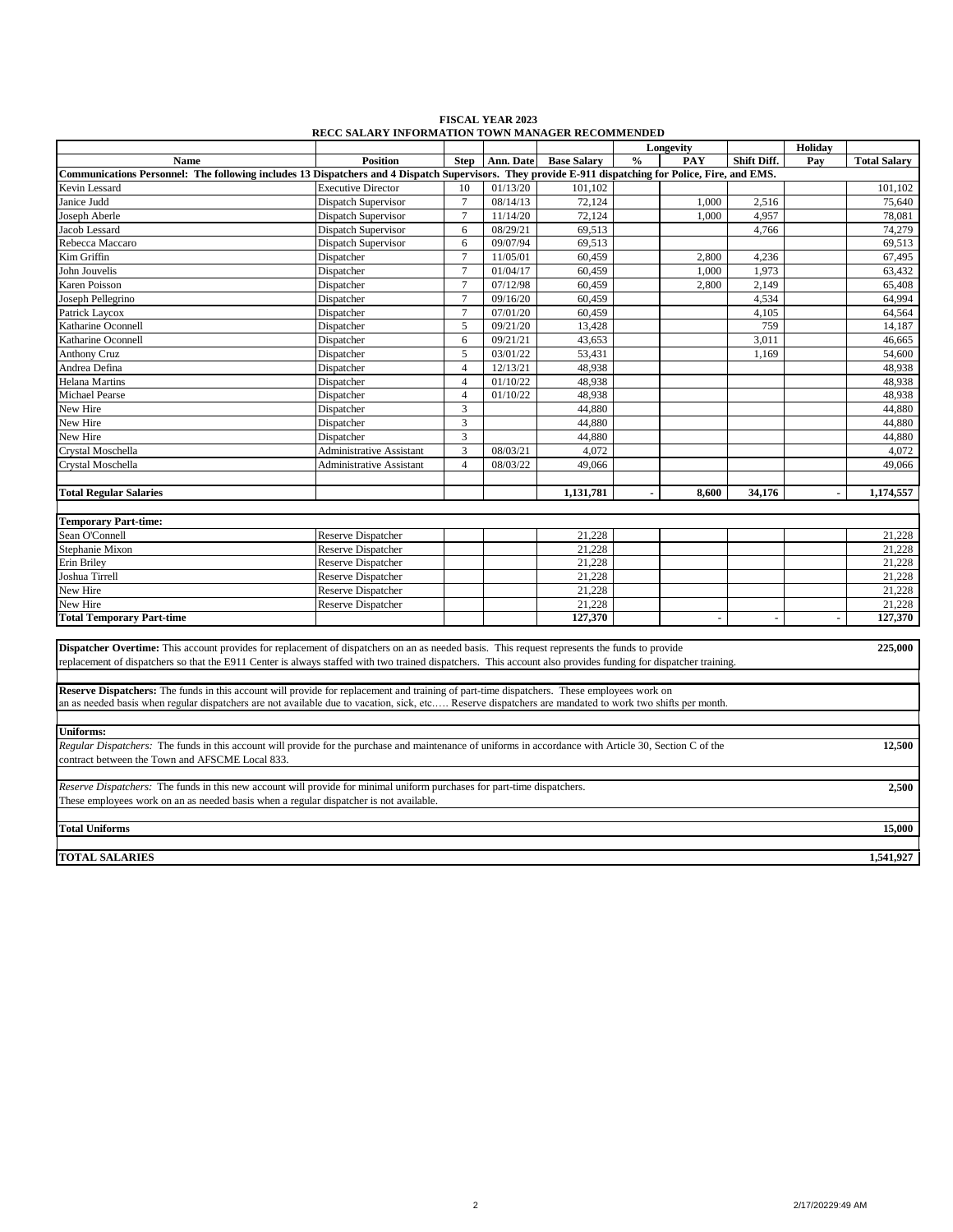| <b>FISCAL YEAR 2023</b>                                 |
|---------------------------------------------------------|
| <b>RECC SALARY INFORMATION TOWN MANAGER RECOMMENDED</b> |

|                                                                                                                                                                                                                                                                                                       |                                 |                 |           |                    |                | Longevity |             | Holiday |                     |
|-------------------------------------------------------------------------------------------------------------------------------------------------------------------------------------------------------------------------------------------------------------------------------------------------------|---------------------------------|-----------------|-----------|--------------------|----------------|-----------|-------------|---------|---------------------|
| <b>Name</b>                                                                                                                                                                                                                                                                                           | <b>Position</b>                 | <b>Step</b>     | Ann. Date | <b>Base Salary</b> | $\frac{0}{0}$  | PAY       | Shift Diff. | Pay     | <b>Total Salary</b> |
| Communications Personnel: The following includes 13 Dispatchers and 4 Dispatch Supervisors. They provide E-911 dispatching for Police, Fire, and EMS.                                                                                                                                                 |                                 |                 |           |                    |                |           |             |         |                     |
| Kevin Lessard                                                                                                                                                                                                                                                                                         | <b>Executive Director</b>       | 10              | 01/13/20  | 101,102            |                |           |             |         | 101,102             |
| Janice Judd                                                                                                                                                                                                                                                                                           | Dispatch Supervisor             | $\overline{7}$  | 08/14/13  | 72,124             |                | 1,000     | 2,516       |         | 75,640              |
| Joseph Aberle                                                                                                                                                                                                                                                                                         | Dispatch Supervisor             | $\tau$          | 11/14/20  | 72,124             |                | 1,000     | 4,957       |         | 78,081              |
| Jacob Lessard                                                                                                                                                                                                                                                                                         | Dispatch Supervisor             | 6               | 08/29/21  | 69,513             |                |           | 4,766       |         | 74,279              |
| Rebecca Maccaro                                                                                                                                                                                                                                                                                       | Dispatch Supervisor             | 6               | 09/07/94  | 69,513             |                |           |             |         | 69,513              |
| Kim Griffin                                                                                                                                                                                                                                                                                           | Dispatcher                      | $\overline{7}$  | 11/05/01  | 60,459             |                | 2,800     | 4,236       |         | 67,495              |
| John Jouvelis                                                                                                                                                                                                                                                                                         | Dispatcher                      | $\overline{7}$  | 01/04/17  | 60.459             |                | 1,000     | 1,973       |         | 63,432              |
| Karen Poisson                                                                                                                                                                                                                                                                                         | Dispatcher                      | $7\phantom{.0}$ | 07/12/98  | 60.459             |                | 2,800     | 2,149       |         | 65.408              |
| Joseph Pellegrino                                                                                                                                                                                                                                                                                     | Dispatcher                      | $7\phantom{.0}$ | 09/16/20  | 60.459             |                |           | 4,534       |         | 64,994              |
| Patrick Laycox                                                                                                                                                                                                                                                                                        | Dispatcher                      | $\tau$          | 07/01/20  | 60,459             |                |           | 4,105       |         | 64,564              |
| Katharine Oconnell                                                                                                                                                                                                                                                                                    | Dispatcher                      | 5               | 09/21/20  | 13,428             |                |           | 759         |         | 14,187              |
| Katharine Oconnell                                                                                                                                                                                                                                                                                    | Dispatcher                      | 6               | 09/21/21  | 43,653             |                |           | 3,011       |         | 46,665              |
| <b>Anthony Cruz</b>                                                                                                                                                                                                                                                                                   | Dispatcher                      | 5               | 03/01/22  | 53,431             |                |           | 1,169       |         | 54,600              |
| Andrea Defina                                                                                                                                                                                                                                                                                         | Dispatcher                      | $\overline{4}$  | 12/13/21  | 48,938             |                |           |             |         | 48,938              |
| Helana Martins                                                                                                                                                                                                                                                                                        | Dispatcher                      | $\overline{4}$  | 01/10/22  | 48,938             |                |           |             |         | 48,938              |
| Michael Pearse                                                                                                                                                                                                                                                                                        | Dispatcher                      | $\overline{4}$  | 01/10/22  | 48,938             |                |           |             |         | 48,938              |
| New Hire                                                                                                                                                                                                                                                                                              | Dispatcher                      | 3               |           | 44,880             |                |           |             |         | 44,880              |
| New Hire                                                                                                                                                                                                                                                                                              | Dispatcher                      | 3               |           | 44,880             |                |           |             |         | 44,880              |
| New Hire                                                                                                                                                                                                                                                                                              | Dispatcher                      | 3               |           | 44,880             |                |           |             |         | 44,880              |
| Crystal Moschella                                                                                                                                                                                                                                                                                     | <b>Administrative Assistant</b> | 3               | 08/03/21  | 4,072              |                |           |             |         | 4.072               |
| Crystal Moschella                                                                                                                                                                                                                                                                                     | <b>Administrative Assistant</b> | $\overline{4}$  | 08/03/22  | 49,066             |                |           |             |         | 49,066              |
|                                                                                                                                                                                                                                                                                                       |                                 |                 |           |                    |                |           |             |         |                     |
| <b>Total Regular Salaries</b>                                                                                                                                                                                                                                                                         |                                 |                 |           | 1,131,781          | $\blacksquare$ | 8,600     | 34,176      |         | 1,174,557           |
|                                                                                                                                                                                                                                                                                                       |                                 |                 |           |                    |                |           |             |         |                     |
| <b>Temporary Part-time:</b>                                                                                                                                                                                                                                                                           |                                 |                 |           |                    |                |           |             |         |                     |
| Sean O'Connell                                                                                                                                                                                                                                                                                        | <b>Reserve Dispatcher</b>       |                 |           | 21,228             |                |           |             |         | 21,228              |
| Stephanie Mixon                                                                                                                                                                                                                                                                                       | <b>Reserve Dispatcher</b>       |                 |           | 21,228             |                |           |             |         | 21,228              |
| Erin Briley                                                                                                                                                                                                                                                                                           | <b>Reserve Dispatcher</b>       |                 |           | 21,228             |                |           |             |         | 21,228              |
| Joshua Tirrell                                                                                                                                                                                                                                                                                        | <b>Reserve Dispatcher</b>       |                 |           | 21,228             |                |           |             |         | 21,228              |
| New Hire                                                                                                                                                                                                                                                                                              | Reserve Dispatcher              |                 |           | 21,228             |                |           |             |         | 21,228              |
| New Hire                                                                                                                                                                                                                                                                                              | <b>Reserve Dispatcher</b>       |                 |           | 21,228             |                |           |             |         | 21,228              |
| <b>Total Temporary Part-time</b>                                                                                                                                                                                                                                                                      |                                 |                 |           | 127,370            |                |           |             |         | 127,370             |
|                                                                                                                                                                                                                                                                                                       |                                 |                 |           |                    |                |           |             |         |                     |
| Dispatcher Overtime: This account provides for replacement of dispatchers on an as needed basis. This request represents the funds to provide                                                                                                                                                         |                                 |                 |           |                    |                |           |             |         | 225,000             |
| replacement of dispatchers so that the E911 Center is always staffed with two trained dispatchers. This account also provides funding for dispatcher training.                                                                                                                                        |                                 |                 |           |                    |                |           |             |         |                     |
|                                                                                                                                                                                                                                                                                                       |                                 |                 |           |                    |                |           |             |         |                     |
|                                                                                                                                                                                                                                                                                                       |                                 |                 |           |                    |                |           |             |         |                     |
| Reserve Dispatchers: The funds in this account will provide for replacement and training of part-time dispatchers. These employees work on<br>an as needed basis when regular dispatchers are not available due to vacation, sick, etc Reserve dispatchers are mandated to work two shifts per month. |                                 |                 |           |                    |                |           |             |         |                     |
|                                                                                                                                                                                                                                                                                                       |                                 |                 |           |                    |                |           |             |         |                     |
| <b>Uniforms:</b>                                                                                                                                                                                                                                                                                      |                                 |                 |           |                    |                |           |             |         |                     |
|                                                                                                                                                                                                                                                                                                       |                                 |                 |           |                    |                |           |             |         |                     |
| Regular Dispatchers: The funds in this account will provide for the purchase and maintenance of uniforms in accordance with Article 30, Section C of the                                                                                                                                              |                                 |                 |           |                    |                |           |             |         | 12,500              |
| contract between the Town and AFSCME Local 833.                                                                                                                                                                                                                                                       |                                 |                 |           |                    |                |           |             |         |                     |
|                                                                                                                                                                                                                                                                                                       |                                 |                 |           |                    |                |           |             |         |                     |
| Reserve Dispatchers: The funds in this new account will provide for minimal uniform purchases for part-time dispatchers.                                                                                                                                                                              |                                 |                 |           |                    |                |           |             |         | 2,500               |
| These employees work on an as needed basis when a regular dispatcher is not available.                                                                                                                                                                                                                |                                 |                 |           |                    |                |           |             |         |                     |
|                                                                                                                                                                                                                                                                                                       |                                 |                 |           |                    |                |           |             |         |                     |
| <b>Total Uniforms</b>                                                                                                                                                                                                                                                                                 |                                 |                 |           |                    |                |           |             |         | 15,000              |
|                                                                                                                                                                                                                                                                                                       |                                 |                 |           |                    |                |           |             |         |                     |
| <b>TOTAL SALARIES</b>                                                                                                                                                                                                                                                                                 |                                 |                 |           |                    |                |           |             |         | 1,541,927           |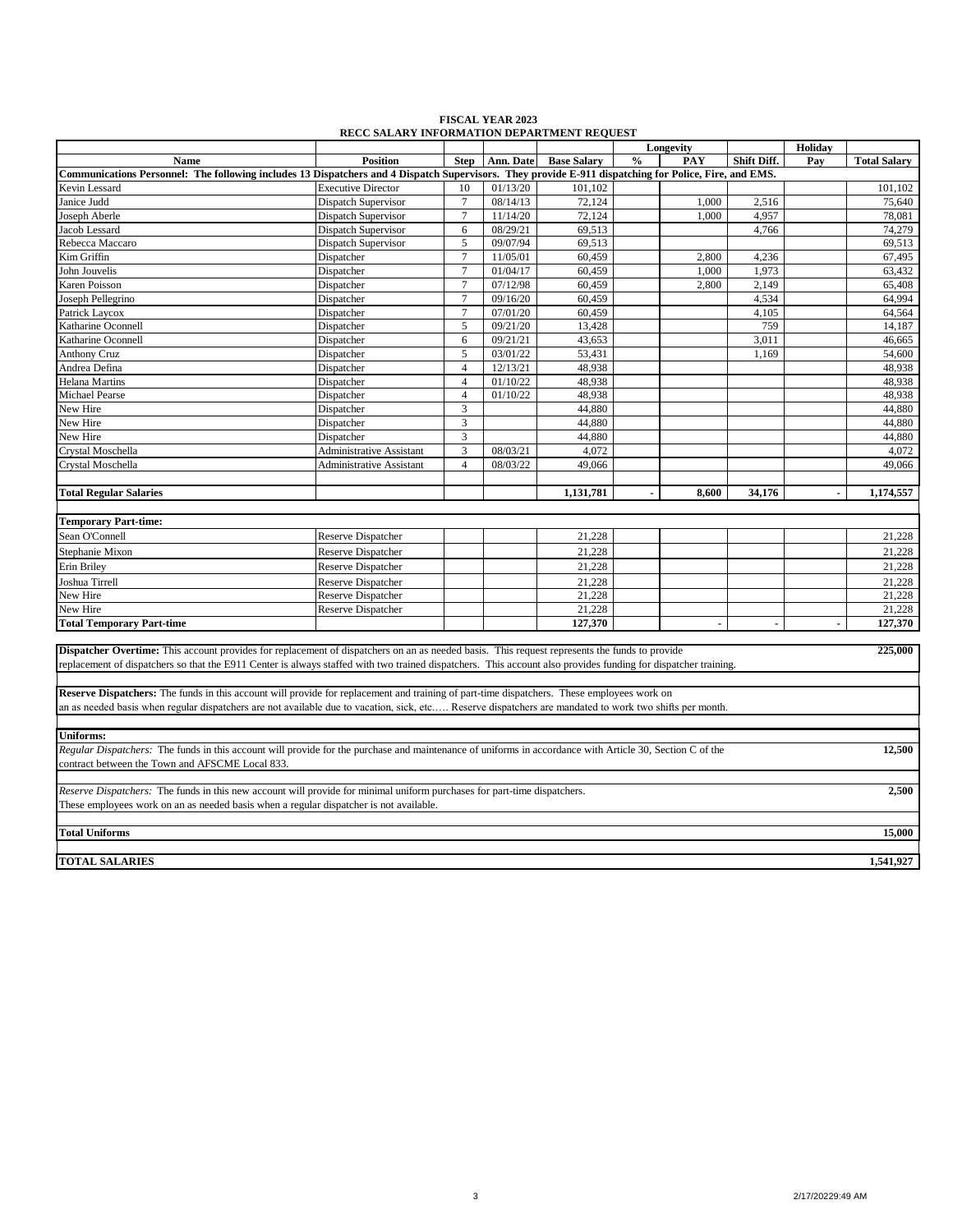| <b>FISCAL YEAR 2023</b>                           |
|---------------------------------------------------|
| <b>RECC SALARY INFORMATION DEPARTMENT REQUEST</b> |

|                                                                                                                                                                |                                 |                |           |                    |               | Longevity |                | Holiday        |                     |
|----------------------------------------------------------------------------------------------------------------------------------------------------------------|---------------------------------|----------------|-----------|--------------------|---------------|-----------|----------------|----------------|---------------------|
| <b>Name</b>                                                                                                                                                    | <b>Position</b>                 | <b>Step</b>    | Ann. Date | <b>Base Salary</b> | $\frac{0}{0}$ | PAY       | Shift Diff.    | Pay            | <b>Total Salary</b> |
| Communications Personnel: The following includes 13 Dispatchers and 4 Dispatch Supervisors. They provide E-911 dispatching for Police, Fire, and EMS.          |                                 |                |           |                    |               |           |                |                |                     |
| Kevin Lessard                                                                                                                                                  | <b>Executive Director</b>       | 10             | 01/13/20  | 101,102            |               |           |                |                | 101,102             |
| Janice Judd                                                                                                                                                    | <b>Dispatch Supervisor</b>      | $\overline{7}$ | 08/14/13  | 72,124             |               | 1,000     | 2,516          |                | 75,640              |
| Joseph Aberle                                                                                                                                                  | Dispatch Supervisor             | $\overline{7}$ | 11/14/20  | 72,124             |               | 1,000     | 4,957          |                | 78,081              |
| Jacob Lessard                                                                                                                                                  | Dispatch Supervisor             | 6              | 08/29/21  | 69,513             |               |           | 4,766          |                | 74,279              |
| Rebecca Maccaro                                                                                                                                                | <b>Dispatch Supervisor</b>      | 5              | 09/07/94  | 69.513             |               |           |                |                | 69,513              |
| Kim Griffin                                                                                                                                                    | Dispatcher                      | $\overline{7}$ | 11/05/01  | 60,459             |               | 2,800     | 4,236          |                | 67,495              |
| John Jouvelis                                                                                                                                                  | Dispatcher                      | $\overline{7}$ | 01/04/17  | 60.459             |               | 1.000     | 1.973          |                | 63,432              |
| Karen Poisson                                                                                                                                                  | Dispatcher                      | $\tau$         | 07/12/98  | 60,459             |               | 2,800     | 2,149          |                | 65,408              |
| Joseph Pellegrino                                                                                                                                              | Dispatcher                      | $\tau$         | 09/16/20  | 60,459             |               |           | 4,534          |                | 64,994              |
| Patrick Laycox                                                                                                                                                 | Dispatcher                      | $\tau$         | 07/01/20  | 60,459             |               |           | 4,105          |                | 64,564              |
| Katharine Oconnell                                                                                                                                             | Dispatcher                      | 5              | 09/21/20  | 13,428             |               |           | 759            |                | 14,187              |
| Katharine Oconnell                                                                                                                                             | Dispatcher                      | 6              | 09/21/21  | 43,653             |               |           | 3,011          |                | 46,665              |
| <b>Anthony Cruz</b>                                                                                                                                            | Dispatcher                      | 5              | 03/01/22  | 53,431             |               |           | 1.169          |                | 54,600              |
| Andrea Defina                                                                                                                                                  | Dispatcher                      | $\overline{4}$ | 12/13/21  | 48,938             |               |           |                |                | 48,938              |
| <b>Helana Martins</b>                                                                                                                                          | Dispatcher                      | $\overline{4}$ | 01/10/22  | 48,938             |               |           |                |                | 48,938              |
| Michael Pearse                                                                                                                                                 | Dispatcher                      | $\overline{4}$ | 01/10/22  | 48,938             |               |           |                |                | 48,938              |
| New Hire                                                                                                                                                       | Dispatcher                      | $\mathfrak{Z}$ |           | 44,880             |               |           |                |                | 44,880              |
| New Hire                                                                                                                                                       | Dispatcher                      | 3              |           | 44,880             |               |           |                |                | 44,880              |
| New Hire                                                                                                                                                       | Dispatcher                      | 3              |           | 44,880             |               |           |                |                | 44,880              |
| Crystal Moschella                                                                                                                                              | <b>Administrative Assistant</b> | 3              | 08/03/21  | 4,072              |               |           |                |                | 4,072               |
| Crystal Moschella                                                                                                                                              | <b>Administrative Assistant</b> | $\overline{4}$ | 08/03/22  | 49,066             |               |           |                |                | 49,066              |
|                                                                                                                                                                |                                 |                |           |                    |               |           |                |                |                     |
| <b>Total Regular Salaries</b>                                                                                                                                  |                                 |                |           | 1,131,781          |               | 8,600     | 34,176         |                | 1,174,557           |
|                                                                                                                                                                |                                 |                |           |                    |               |           |                |                |                     |
| <b>Temporary Part-time:</b>                                                                                                                                    |                                 |                |           |                    |               |           |                |                |                     |
| Sean O'Connell                                                                                                                                                 | <b>Reserve Dispatcher</b>       |                |           | 21,228             |               |           |                |                | 21,228              |
| Stephanie Mixon                                                                                                                                                | <b>Reserve Dispatcher</b>       |                |           | 21,228             |               |           |                |                | 21,228              |
| Erin Briley                                                                                                                                                    | <b>Reserve Dispatcher</b>       |                |           | 21,228             |               |           |                |                | 21,228              |
| Joshua Tirrell                                                                                                                                                 | <b>Reserve Dispatcher</b>       |                |           | 21,228             |               |           |                |                | 21,228              |
| New Hire                                                                                                                                                       | <b>Reserve Dispatcher</b>       |                |           | 21,228             |               |           |                |                | 21,228              |
| New Hire                                                                                                                                                       | Reserve Dispatcher              |                |           | 21,228             |               |           |                |                | 21,228              |
| <b>Total Temporary Part-time</b>                                                                                                                               |                                 |                |           | 127,370            |               | ÷,        | $\blacksquare$ | $\overline{a}$ | 127,370             |
|                                                                                                                                                                |                                 |                |           |                    |               |           |                |                |                     |
| <b>Dispatcher Overtime:</b> This account provides for replacement of dispatchers on an as needed basis. This request represents the funds to provide           |                                 |                |           |                    |               |           |                |                | 225,000             |
| replacement of dispatchers so that the E911 Center is always staffed with two trained dispatchers. This account also provides funding for dispatcher training. |                                 |                |           |                    |               |           |                |                |                     |
|                                                                                                                                                                |                                 |                |           |                    |               |           |                |                |                     |
| <b>Reserve Dispatchers:</b> The funds in this account will provide for replacement and training of part-time dispatchers. These employees work on              |                                 |                |           |                    |               |           |                |                |                     |
| an as needed basis when regular dispatchers are not available due to vacation, sick, etc Reserve dispatchers are mandated to work two shifts per month.        |                                 |                |           |                    |               |           |                |                |                     |
|                                                                                                                                                                |                                 |                |           |                    |               |           |                |                |                     |
| <b>Uniforms:</b>                                                                                                                                               |                                 |                |           |                    |               |           |                |                |                     |
| Regular Dispatchers: The funds in this account will provide for the purchase and maintenance of uniforms in accordance with Article 30, Section C of the       |                                 |                |           |                    |               |           |                |                | 12,500              |
| contract between the Town and AFSCME Local 833.                                                                                                                |                                 |                |           |                    |               |           |                |                |                     |
|                                                                                                                                                                |                                 |                |           |                    |               |           |                |                |                     |
| Reserve Dispatchers: The funds in this new account will provide for minimal uniform purchases for part-time dispatchers.                                       |                                 |                |           |                    |               |           |                |                | 2,500               |
| These employees work on an as needed basis when a regular dispatcher is not available.                                                                         |                                 |                |           |                    |               |           |                |                |                     |
|                                                                                                                                                                |                                 |                |           |                    |               |           |                |                |                     |
| <b>Total Uniforms</b>                                                                                                                                          |                                 |                |           |                    |               |           |                |                | 15,000              |
|                                                                                                                                                                |                                 |                |           |                    |               |           |                |                |                     |
|                                                                                                                                                                |                                 |                |           |                    |               |           |                |                |                     |
| <b>TOTAL SALARIES</b>                                                                                                                                          |                                 |                |           |                    |               |           |                |                | 1,541,927           |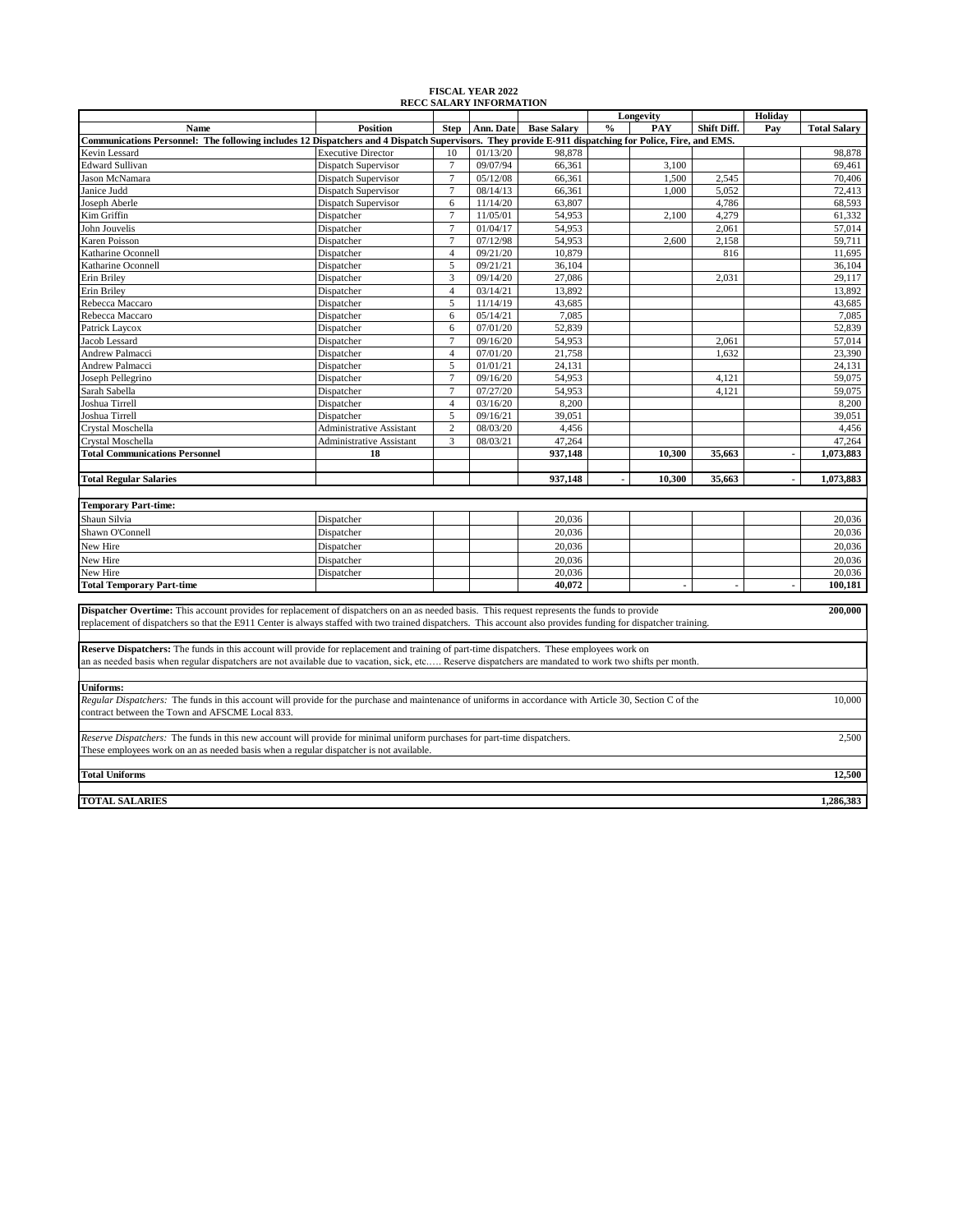| <b>RECC SALARY INFORMATION</b><br>Holiday<br>Longevity                                                                                                         |                                 |                 |           |                    |                      |                |                |                     |
|----------------------------------------------------------------------------------------------------------------------------------------------------------------|---------------------------------|-----------------|-----------|--------------------|----------------------|----------------|----------------|---------------------|
| Name                                                                                                                                                           | <b>Position</b>                 | <b>Step</b>     | Ann. Date | <b>Base Salary</b> | $\frac{0}{0}$<br>PAY | Shift Diff.    | Pay            | <b>Total Salary</b> |
| Communications Personnel: The following includes 12 Dispatchers and 4 Dispatch Supervisors. They provide E-911 dispatching for Police, Fire, and EMS.          |                                 |                 |           |                    |                      |                |                |                     |
| Kevin Lessard                                                                                                                                                  | <b>Executive Director</b>       | 10              | 01/13/20  | 98,878             |                      |                |                | 98,878              |
| <b>Edward Sullivan</b>                                                                                                                                         | Dispatch Supervisor             | $\overline{7}$  | 09/07/94  | 66,361             |                      | 3,100          |                | 69,461              |
| Jason McNamara                                                                                                                                                 | Dispatch Supervisor             | $\overline{7}$  | 05/12/08  | 66,361             |                      | 1,500<br>2,545 |                | 70,406              |
| Janice Judd                                                                                                                                                    | Dispatch Supervisor             | $7\phantom{.0}$ | 08/14/13  | 66,361             |                      | 1,000<br>5,052 |                | 72,413              |
| Joseph Aberle                                                                                                                                                  | Dispatch Supervisor             | 6               | 11/14/20  | 63,807             |                      | 4,786          |                | 68,593              |
| Kim Griffin                                                                                                                                                    | Dispatcher                      | $\overline{7}$  | 11/05/01  | 54,953             |                      | 4,279<br>2,100 |                | 61,332              |
| John Jouvelis                                                                                                                                                  | Dispatcher                      | $\tau$          | 01/04/17  | 54,953             |                      | 2,061          |                | 57,014              |
| <b>Karen Poisson</b>                                                                                                                                           | Dispatcher                      | $\overline{7}$  | 07/12/98  | 54,953             |                      | 2,158<br>2,600 |                | 59,711              |
| Katharine Oconnell                                                                                                                                             | Dispatcher                      | $\overline{4}$  | 09/21/20  | 10,879             |                      | 816            |                | 11,695              |
| Katharine Oconnell                                                                                                                                             | Dispatcher                      | 5               | 09/21/21  | 36,104             |                      |                |                | 36,104              |
| Erin Briley                                                                                                                                                    | Dispatcher                      | $\overline{3}$  | 09/14/20  | 27,086             |                      | 2,031          |                | 29,117              |
| Erin Briley                                                                                                                                                    | Dispatcher                      | $\overline{4}$  | 03/14/21  | 13,892             |                      |                |                | 13,892              |
| Rebecca Maccaro                                                                                                                                                | Dispatcher                      | 5               | 11/14/19  | 43,685             |                      |                |                | 43,685              |
| Rebecca Maccaro                                                                                                                                                | Dispatcher                      | 6               | 05/14/21  | 7,085              |                      |                |                | 7,085               |
| Patrick Laycox                                                                                                                                                 | Dispatcher                      | 6               | 07/01/20  | 52,839             |                      |                |                | 52,839              |
| Jacob Lessard                                                                                                                                                  | Dispatcher                      | $\overline{7}$  | 09/16/20  | 54,953             |                      | 2,061          |                | 57,014              |
| Andrew Palmacci                                                                                                                                                | Dispatcher                      | $\overline{4}$  | 07/01/20  | 21,758             |                      | 1,632          |                | 23,390              |
| Andrew Palmacci                                                                                                                                                | Dispatcher                      | 5               | 01/01/21  | 24,131             |                      |                |                | 24,131              |
| Joseph Pellegrino                                                                                                                                              | Dispatcher                      | $\overline{7}$  | 09/16/20  | 54,953             |                      | 4,121          |                | 59,075              |
| Sarah Sabella                                                                                                                                                  | Dispatcher                      | $\tau$          | 07/27/20  | 54,953             |                      | 4,121          |                | 59,075              |
| Joshua Tirrell                                                                                                                                                 | Dispatcher                      | $\overline{4}$  | 03/16/20  | 8,200              |                      |                |                | 8,200               |
| Joshua Tirrell                                                                                                                                                 | Dispatcher                      | 5               | 09/16/21  | 39,051             |                      |                |                | 39,051              |
| Crystal Moschella                                                                                                                                              | <b>Administrative Assistant</b> | 2               | 08/03/20  | 4,456              |                      |                |                | 4,456               |
| Crystal Moschella                                                                                                                                              | <b>Administrative Assistant</b> | 3               | 08/03/21  | 47,264             |                      |                |                | 47,264              |
| <b>Total Communications Personnel</b>                                                                                                                          | 18                              |                 |           | 937,148            | 10,300               | 35,663         | $\blacksquare$ | 1,073,883           |
|                                                                                                                                                                |                                 |                 |           |                    |                      |                |                |                     |
| <b>Total Regular Salaries</b>                                                                                                                                  |                                 |                 |           | 937,148            | 10,300               | 35,663         |                | 1,073,883           |
|                                                                                                                                                                |                                 |                 |           |                    |                      |                |                |                     |
| <b>Temporary Part-time:</b>                                                                                                                                    |                                 |                 |           |                    |                      |                |                |                     |
| Shaun Silvia                                                                                                                                                   | Dispatcher                      |                 |           | 20,036             |                      |                |                | 20,036              |
| Shawn O'Connell                                                                                                                                                | Dispatcher                      |                 |           | 20,036             |                      |                |                | 20,036              |
| New Hire                                                                                                                                                       | Dispatcher                      |                 |           | 20,036             |                      |                |                | 20,036              |
| New Hire                                                                                                                                                       | Dispatcher                      |                 |           | 20.036             |                      |                |                | 20.036              |
| New Hire                                                                                                                                                       | Dispatcher                      |                 |           | 20,036             |                      |                |                | 20,036              |
| <b>Total Temporary Part-time</b>                                                                                                                               |                                 |                 |           | 40,072             |                      | L.             |                | 100,181             |
|                                                                                                                                                                |                                 |                 |           |                    |                      |                |                |                     |
| Dispatcher Overtime: This account provides for replacement of dispatchers on an as needed basis. This request represents the funds to provide                  |                                 |                 |           |                    |                      |                |                | 200,000             |
| replacement of dispatchers so that the E911 Center is always staffed with two trained dispatchers. This account also provides funding for dispatcher training. |                                 |                 |           |                    |                      |                |                |                     |
|                                                                                                                                                                |                                 |                 |           |                    |                      |                |                |                     |
| Reserve Dispatchers: The funds in this account will provide for replacement and training of part-time dispatchers. These employees work on                     |                                 |                 |           |                    |                      |                |                |                     |
| an as needed basis when regular dispatchers are not available due to vacation, sick, etc Reserve dispatchers are mandated to work two shifts per month.        |                                 |                 |           |                    |                      |                |                |                     |
|                                                                                                                                                                |                                 |                 |           |                    |                      |                |                |                     |
| <b>Uniforms:</b>                                                                                                                                               |                                 |                 |           |                    |                      |                |                |                     |
| Regular Dispatchers: The funds in this account will provide for the purchase and maintenance of uniforms in accordance with Article 30, Section C of the       |                                 |                 |           |                    |                      |                |                | 10,000              |
| contract between the Town and AFSCME Local 833.                                                                                                                |                                 |                 |           |                    |                      |                |                |                     |
|                                                                                                                                                                |                                 |                 |           |                    |                      |                |                |                     |
| Reserve Dispatchers: The funds in this new account will provide for minimal uniform purchases for part-time dispatchers.                                       |                                 |                 |           |                    |                      |                |                | 2,500               |
| These employees work on an as needed basis when a regular dispatcher is not available.                                                                         |                                 |                 |           |                    |                      |                |                |                     |
|                                                                                                                                                                |                                 |                 |           |                    |                      |                |                |                     |
| <b>Total Uniforms</b>                                                                                                                                          |                                 |                 |           |                    |                      |                |                | 12,500              |
|                                                                                                                                                                |                                 |                 |           |                    |                      |                |                |                     |
| <b>TOTAL SALARIES</b>                                                                                                                                          |                                 |                 |           |                    |                      |                |                | 1,286,383           |
|                                                                                                                                                                |                                 |                 |           |                    |                      |                |                |                     |

#### **FISCAL YEAR 2022 RECC SALARY INFORMATION**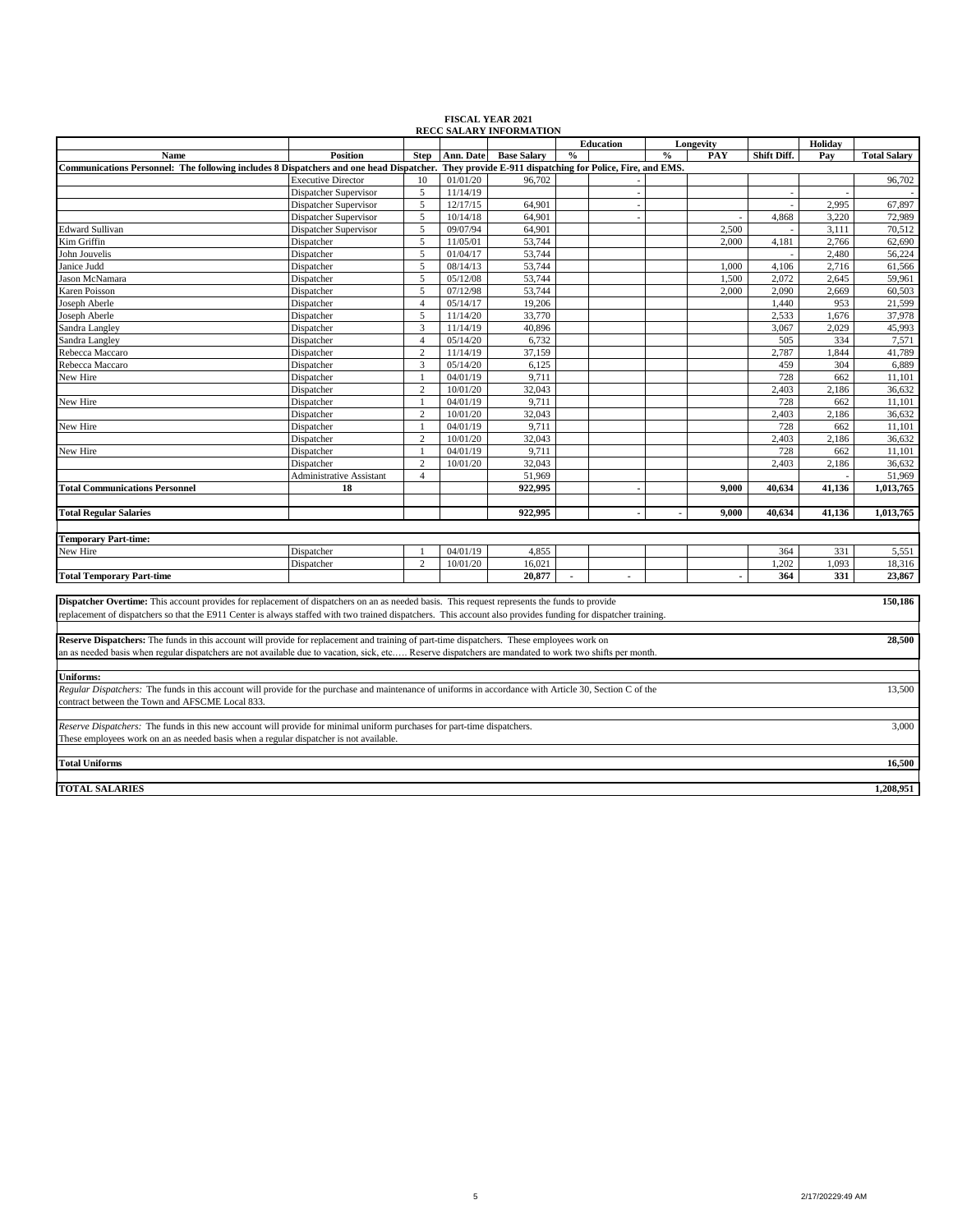|                                                                                                                                                                |                           |                     |                      | <b><i>REUU SALART INFURNIATION</i></b>                    |                | Education |      | Longevity |             | Holiday      |                     |
|----------------------------------------------------------------------------------------------------------------------------------------------------------------|---------------------------|---------------------|----------------------|-----------------------------------------------------------|----------------|-----------|------|-----------|-------------|--------------|---------------------|
| Name                                                                                                                                                           | Position                  | <b>Step</b>         | Ann. Date            | <b>Base Salary</b>                                        | $\%$           |           | $\%$ | PAY       | Shift Diff. | Pay          | <b>Total Salary</b> |
| Communications Personnel: The following includes 8 Dispatchers and one head Dispatcher.                                                                        |                           |                     |                      | They provide E-911 dispatching for Police, Fire, and EMS. |                |           |      |           |             |              |                     |
|                                                                                                                                                                | <b>Executive Director</b> | 10                  | 01/01/20             | 96.702                                                    |                |           |      |           |             |              | 96,702              |
|                                                                                                                                                                | Dispatcher Supervisor     | 5                   | 11/14/19             |                                                           |                |           |      |           |             |              |                     |
|                                                                                                                                                                | Dispatcher Supervisor     | 5                   | 12/17/15             | 64,901                                                    |                | ÷         |      |           |             | 2,995        | 67,897              |
|                                                                                                                                                                | Dispatcher Supervisor     | 5                   | 10/14/18             | 64,901                                                    |                | ÷         |      |           | 4,868       | 3,220        | 72,989              |
| <b>Edward Sullivan</b>                                                                                                                                         | Dispatcher Supervisor     | 5                   | 09/07/94             | 64,901                                                    |                |           |      | 2,500     |             | 3,111        | 70,512              |
| Kim Griffin                                                                                                                                                    | Dispatcher                | 5                   | 11/05/01             | 53,744                                                    |                |           |      | 2,000     | 4,181       | 2,766        | 62,690              |
| John Jouvelis                                                                                                                                                  | Dispatcher                | 5                   | 01/04/17             | 53,744                                                    |                |           |      |           |             | 2.480        | 56,224              |
| Janice Judd                                                                                                                                                    | Dispatcher                | 5                   | 08/14/13             | 53,744                                                    |                |           |      | 1,000     | 4,106       | 2,716        | 61,566              |
| ason McNamara                                                                                                                                                  | Dispatcher                | 5                   | 05/12/08             | 53,744                                                    |                |           |      | 1,500     | 2,072       | 2,645        | 59,961              |
| <b>Karen Poisson</b>                                                                                                                                           | Dispatcher                | 5                   | 07/12/98             | 53,744                                                    |                |           |      | 2,000     | 2,090       | 2,669        | 60,503              |
| Joseph Aberle                                                                                                                                                  | Dispatcher                | $\overline{4}$      | 05/14/17             | 19,206                                                    |                |           |      |           | 1,440       | 953          | 21,599              |
| Joseph Aberle                                                                                                                                                  | Dispatcher                | 5                   | 11/14/20             | 33,770                                                    |                |           |      |           | 2,533       | 1,676        | 37,978              |
| Sandra Langley                                                                                                                                                 | Dispatcher                | $\overline{3}$      | 11/14/19             | 40,896                                                    |                |           |      |           | 3.067       | 2,029        | 45,993              |
| Sandra Langley                                                                                                                                                 |                           | $\overline{4}$      | 05/14/20             | 6,732                                                     |                |           |      |           | 505         | 334          | 7,571               |
|                                                                                                                                                                | Dispatcher                |                     |                      |                                                           |                |           |      |           | 2,787       |              |                     |
| Rebecca Maccaro                                                                                                                                                | Dispatcher                | $\overline{2}$<br>3 | 11/14/19             | 37,159                                                    |                |           |      |           |             | 1,844        | 41,789              |
| Rebecca Maccaro                                                                                                                                                | Dispatcher                | $\overline{1}$      | 05/14/20             | 6,125                                                     |                |           |      |           | 459<br>728  | 304          | 6,889               |
| New Hire                                                                                                                                                       | Dispatcher                | $\overline{2}$      | 04/01/19<br>10/01/20 | 9,711<br>32,043                                           |                |           |      |           | 2,403       | 662<br>2,186 | 11,101<br>36,632    |
|                                                                                                                                                                | Dispatcher                |                     | 04/01/19             | 9.711                                                     |                |           |      |           | 728         | 662          | 11.101              |
| New Hire                                                                                                                                                       | Dispatcher                | $\overline{2}$      | 10/01/20             |                                                           |                |           |      |           | 2.403       |              |                     |
|                                                                                                                                                                | Dispatcher                |                     | 04/01/19             | 32,043                                                    |                |           |      |           |             | 2,186        | 36,632              |
| New Hire                                                                                                                                                       | Dispatcher                |                     |                      | 9,711                                                     |                |           |      |           | 728         | 662          | 11,101              |
|                                                                                                                                                                | Dispatcher                | $\overline{c}$      | 10/01/20             | 32,043                                                    |                |           |      |           | 2,403       | 2,186        | 36,632              |
| New Hire                                                                                                                                                       | Dispatcher                | $\mathbf{1}$        | 04/01/19             | 9,711                                                     |                |           |      |           | 728         | 662          | 11,101              |
|                                                                                                                                                                | Dispatcher                | $\overline{2}$      | 10/01/20             | 32,043                                                    |                |           |      |           | 2,403       | 2,186        | 36,632              |
|                                                                                                                                                                | Administrative Assistant  | $\overline{4}$      |                      | 51.969                                                    |                |           |      |           |             |              | 51,969              |
| <b>Total Communications Personnel</b>                                                                                                                          | 18                        |                     |                      | 922.995                                                   |                |           |      | 9,000     | 40,634      | 41,136       | 1,013,765           |
|                                                                                                                                                                |                           |                     |                      |                                                           |                |           |      |           |             |              |                     |
| <b>Total Regular Salaries</b>                                                                                                                                  |                           |                     |                      | 922,995                                                   |                |           |      | 9.000     | 40,634      | 41,136       | 1,013,765           |
|                                                                                                                                                                |                           |                     |                      |                                                           |                |           |      |           |             |              |                     |
| <b>Femporary Part-time:</b>                                                                                                                                    |                           |                     |                      |                                                           |                |           |      |           |             |              |                     |
| New Hire                                                                                                                                                       | Dispatcher                |                     | 04/01/19             | 4,855                                                     |                |           |      |           | 364         | 331          | 5,551               |
|                                                                                                                                                                | Dispatcher                | $\overline{2}$      | 10/01/20             | 16,021                                                    |                |           |      |           | 1.202       | 1.093        | 18,316              |
| <b>Total Temporary Part-time</b>                                                                                                                               |                           |                     |                      | 20,877                                                    | $\blacksquare$ | ä,        |      |           | 364         | 331          | 23,867              |
|                                                                                                                                                                |                           |                     |                      |                                                           |                |           |      |           |             |              |                     |
| Dispatcher Overtime: This account provides for replacement of dispatchers on an as needed basis. This request represents the funds to provide                  |                           |                     |                      |                                                           |                |           |      |           |             |              | 150,186             |
| replacement of dispatchers so that the E911 Center is always staffed with two trained dispatchers. This account also provides funding for dispatcher training. |                           |                     |                      |                                                           |                |           |      |           |             |              |                     |
|                                                                                                                                                                |                           |                     |                      |                                                           |                |           |      |           |             |              |                     |
| Reserve Dispatchers: The funds in this account will provide for replacement and training of part-time dispatchers. These employees work on                     |                           |                     |                      |                                                           |                |           |      |           |             |              | 28,500              |
| an as needed basis when regular dispatchers are not available due to vacation, sick, etc Reserve dispatchers are mandated to work two shifts per month.        |                           |                     |                      |                                                           |                |           |      |           |             |              |                     |
|                                                                                                                                                                |                           |                     |                      |                                                           |                |           |      |           |             |              |                     |
| <b>Jniforms:</b>                                                                                                                                               |                           |                     |                      |                                                           |                |           |      |           |             |              |                     |
| Regular Dispatchers: The funds in this account will provide for the purchase and maintenance of uniforms in accordance with Article 30, Section C of the       |                           |                     |                      |                                                           |                |           |      |           |             |              | 13,500              |
| contract between the Town and AFSCME Local 833.                                                                                                                |                           |                     |                      |                                                           |                |           |      |           |             |              |                     |
|                                                                                                                                                                |                           |                     |                      |                                                           |                |           |      |           |             |              |                     |
| Reserve Dispatchers: The funds in this new account will provide for minimal uniform purchases for part-time dispatchers.                                       |                           |                     |                      |                                                           |                |           |      |           |             |              | 3,000               |
| These employees work on an as needed basis when a regular dispatcher is not available.                                                                         |                           |                     |                      |                                                           |                |           |      |           |             |              |                     |
|                                                                                                                                                                |                           |                     |                      |                                                           |                |           |      |           |             |              |                     |
| <b>Total Uniforms</b>                                                                                                                                          |                           |                     |                      |                                                           |                |           |      |           |             |              | 16,500              |
|                                                                                                                                                                |                           |                     |                      |                                                           |                |           |      |           |             |              |                     |
| <b>TOTAL SALARIES</b>                                                                                                                                          |                           |                     |                      |                                                           |                |           |      |           |             |              | 1,208,951           |

## **FISCAL YEAR 2021 RECC SALARY INFORMATION**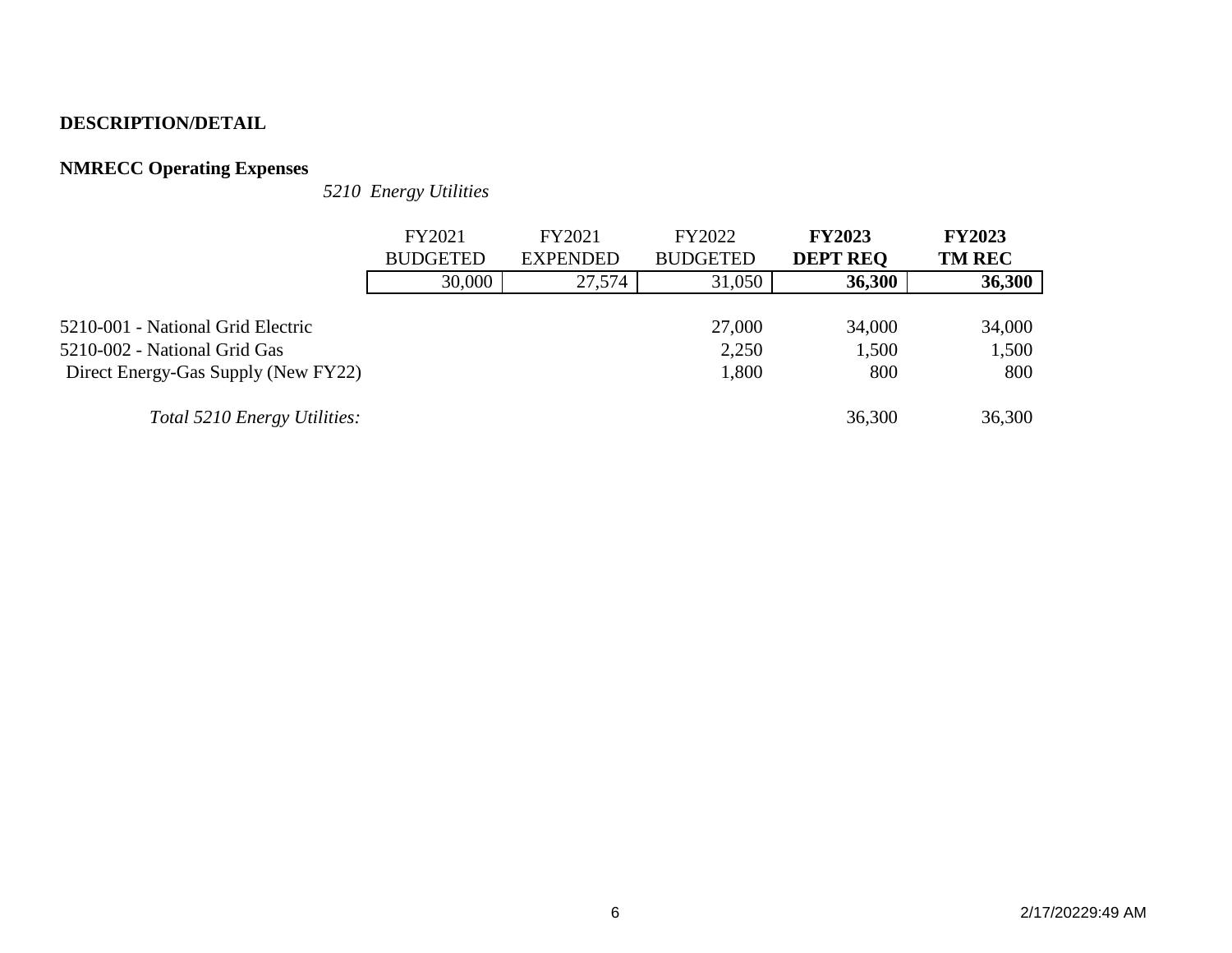# **NMRECC Operating Expenses**

*5210 Energy Utilities*

|                                     | FY2021          | FY2021          | FY2022          | <b>FY2023</b>   | <b>FY2023</b> |
|-------------------------------------|-----------------|-----------------|-----------------|-----------------|---------------|
|                                     | <b>BUDGETED</b> | <b>EXPENDED</b> | <b>BUDGETED</b> | <b>DEPT REO</b> | <b>TM REC</b> |
|                                     | 30,000          | 27,574          | 31,050          | 36,300          | 36,300        |
|                                     |                 |                 |                 |                 |               |
| 5210-001 - National Grid Electric   |                 |                 | 27,000          | 34,000          | 34,000        |
| 5210-002 - National Grid Gas        |                 |                 | 2,250           | 1,500           | 1,500         |
| Direct Energy-Gas Supply (New FY22) |                 |                 | 1,800           | 800             | 800           |
|                                     |                 |                 |                 |                 |               |
| Total 5210 Energy Utilities:        |                 |                 |                 | 36,300          | 36,300        |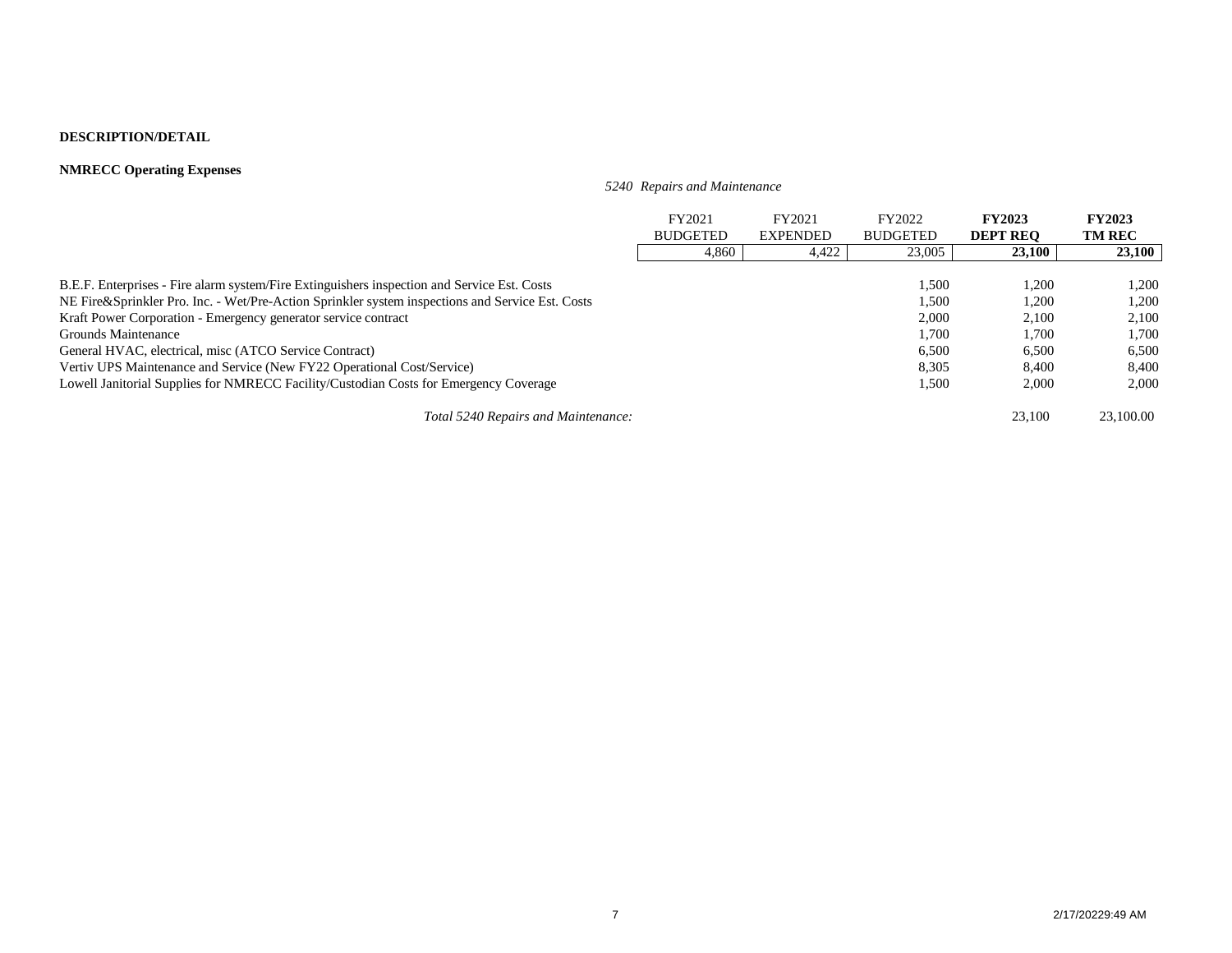### **NMRECC Operating Expenses**

*5240 Repairs and Maintenance*

|                                                                                                  | FY2021<br><b>BUDGETED</b> | FY2021<br><b>EXPENDED</b> | FY2022<br><b>BUDGETED</b> | <b>FY2023</b><br><b>DEPT REO</b> | <b>FY2023</b><br><b>TM REC</b> |
|--------------------------------------------------------------------------------------------------|---------------------------|---------------------------|---------------------------|----------------------------------|--------------------------------|
|                                                                                                  | 4,860                     | 4.422                     | 23,005                    | 23,100                           | 23,100                         |
|                                                                                                  |                           |                           |                           |                                  |                                |
| B.E.F. Enterprises - Fire alarm system/Fire Extinguishers inspection and Service Est. Costs      |                           |                           | 1,500                     | 1,200                            | 1.200                          |
| NE Fire&Sprinkler Pro. Inc. - Wet/Pre-Action Sprinkler system inspections and Service Est. Costs |                           |                           | 1.500                     | 1.200                            | 1.200                          |
| Kraft Power Corporation - Emergency generator service contract                                   |                           |                           | 2,000                     | 2.100                            | 2,100                          |
| Grounds Maintenance                                                                              |                           |                           | 1,700                     | 1.700                            | 1.700                          |
| General HVAC, electrical, misc (ATCO Service Contract)                                           |                           |                           | 6,500                     | 6,500                            | 6,500                          |
| Vertiv UPS Maintenance and Service (New FY22 Operational Cost/Service)                           |                           |                           | 8,305                     | 8.400                            | 8.400                          |
| Lowell Janitorial Supplies for NMRECC Facility/Custodian Costs for Emergency Coverage            |                           |                           | 1,500                     | 2,000                            | 2,000                          |
| Total 5240 Repairs and Maintenance:                                                              |                           |                           |                           | 23,100                           | 23,100.00                      |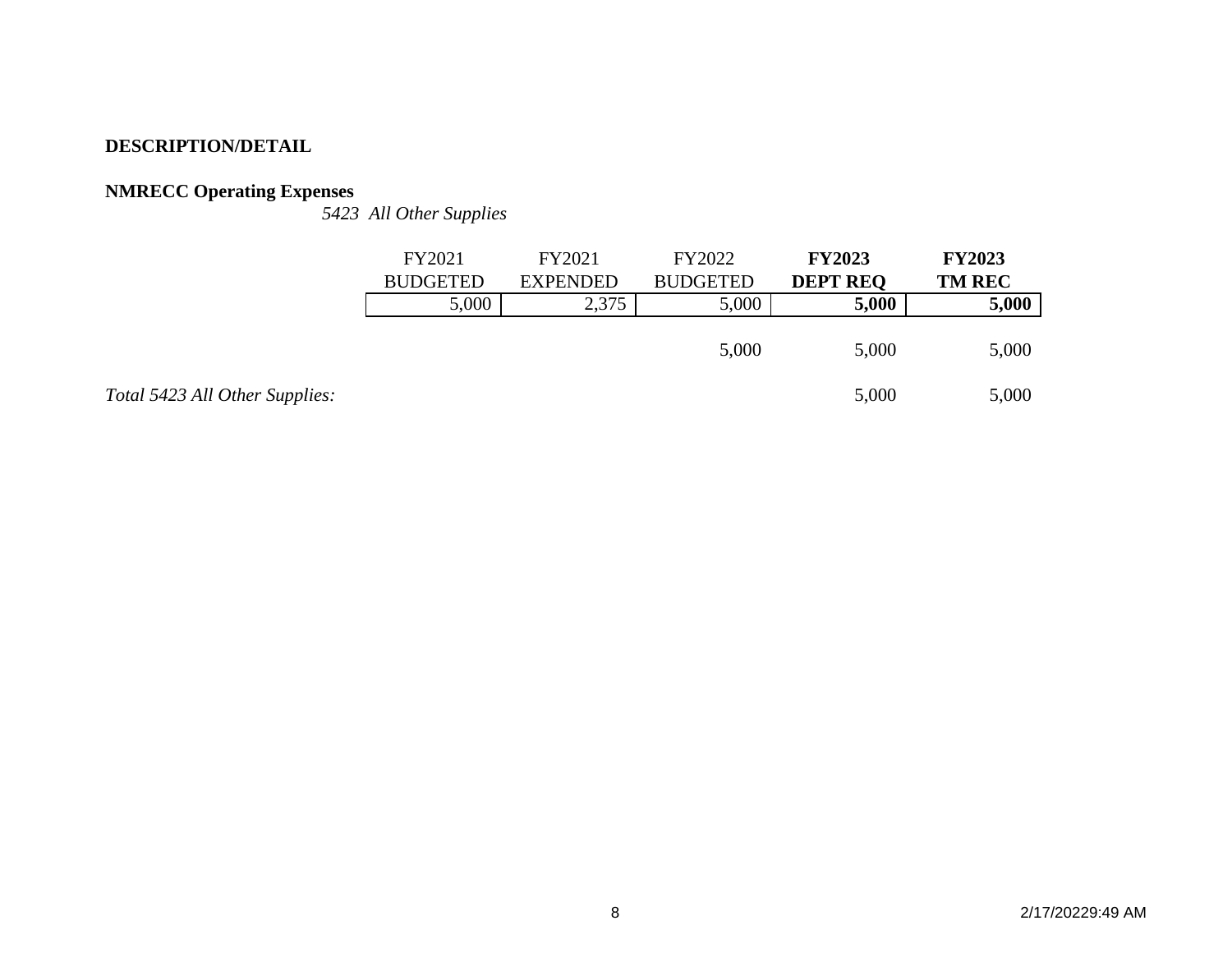# **NMRECC Operating Expenses**

*5423 All Other Supplies*

|                 | FY2021<br><b>BUDGETED</b> | FY2021<br><b>EXPENDED</b> | FY2022<br><b>BUDGETED</b> | <b>FY2023</b><br><b>DEPT REQ</b> | <b>FY2023</b><br><b>TM REC</b> |
|-----------------|---------------------------|---------------------------|---------------------------|----------------------------------|--------------------------------|
|                 | 5,000                     | 2,375                     | 5,000                     | 5,000                            | 5,000                          |
|                 |                           |                           | 5,000                     | 5,000                            | 5,000                          |
| <i>ipplies:</i> |                           |                           |                           | 5,000                            | 5,000                          |

*Total 5423 All Other Sue*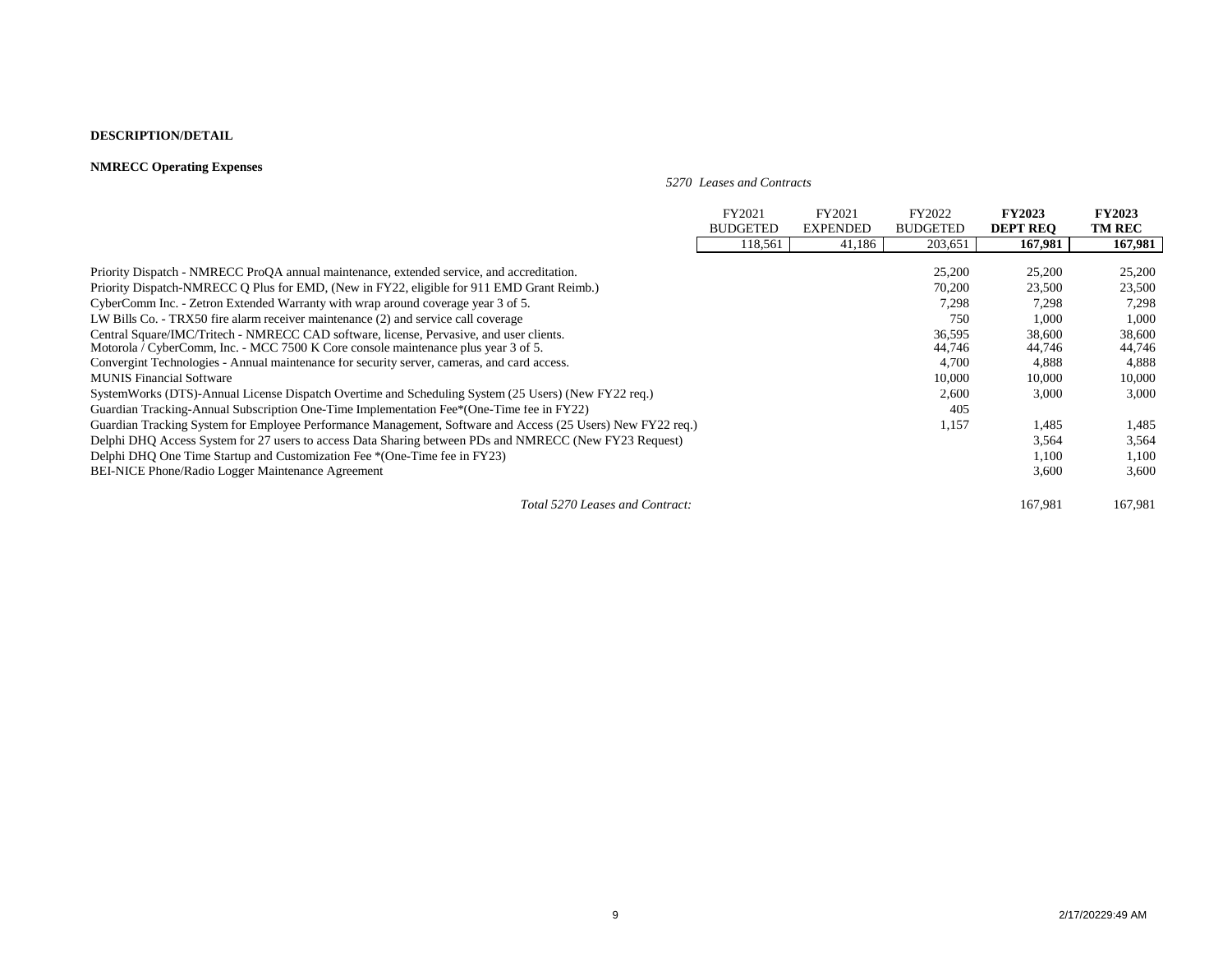### **NMRECC Operating Expenses**

*5270 Leases and Contracts*

|                                                                                                             | FY2021          | FY2021          | FY2022          | <b>FY2023</b>   | <b>FY2023</b> |
|-------------------------------------------------------------------------------------------------------------|-----------------|-----------------|-----------------|-----------------|---------------|
|                                                                                                             | <b>BUDGETED</b> | <b>EXPENDED</b> | <b>BUDGETED</b> | <b>DEPT REO</b> | <b>TM REC</b> |
|                                                                                                             | 118,561         | 41,186          | 203,651         | 167,981         | 167,981       |
|                                                                                                             |                 |                 |                 |                 |               |
| Priority Dispatch - NMRECC ProQA annual maintenance, extended service, and accreditation.                   |                 |                 | 25,200          | 25,200          | 25,200        |
| Priority Dispatch-NMRECC Q Plus for EMD, (New in FY22, eligible for 911 EMD Grant Reimb.)                   |                 |                 | 70,200          | 23,500          | 23,500        |
| CyberComm Inc. - Zetron Extended Warranty with wrap around coverage year 3 of 5.                            |                 |                 | 7,298           | 7,298           | 7,298         |
| LW Bills Co. - TRX50 fire alarm receiver maintenance (2) and service call coverage                          |                 |                 | 750             | 1,000           | 1,000         |
| Central Square/IMC/Tritech - NMRECC CAD software, license, Pervasive, and user clients.                     |                 |                 | 36,595          | 38,600          | 38,600        |
| Motorola / CyberComm, Inc. - MCC 7500 K Core console maintenance plus year 3 of 5.                          |                 |                 | 44,746          | 44,746          | 44,746        |
| Convergint Technologies - Annual maintenance for security server, cameras, and card access.                 |                 |                 | 4,700           | 4,888           | 4,888         |
| <b>MUNIS Financial Software</b>                                                                             |                 |                 | 10,000          | 10,000          | 10,000        |
| SystemWorks (DTS)-Annual License Dispatch Overtime and Scheduling System (25 Users) (New FY22 req.)         |                 |                 | 2,600           | 3,000           | 3,000         |
| Guardian Tracking-Annual Subscription One-Time Implementation Fee*(One-Time fee in FY22)                    |                 |                 | 405             |                 |               |
| Guardian Tracking System for Employee Performance Management, Software and Access (25 Users) New FY22 req.) |                 |                 | 1,157           | 1,485           | 1,485         |
| Delphi DHQ Access System for 27 users to access Data Sharing between PDs and NMRECC (New FY23 Request)      |                 |                 |                 | 3,564           | 3,564         |
| Delphi DHO One Time Startup and Customization Fee *(One-Time fee in FY23)                                   |                 |                 |                 | 1,100           | 1,100         |
| <b>BEI-NICE Phone/Radio Logger Maintenance Agreement</b>                                                    |                 |                 |                 | 3,600           | 3,600         |
| Total 5270 Leases and Contract:                                                                             |                 |                 |                 | 167.981         | 167,981       |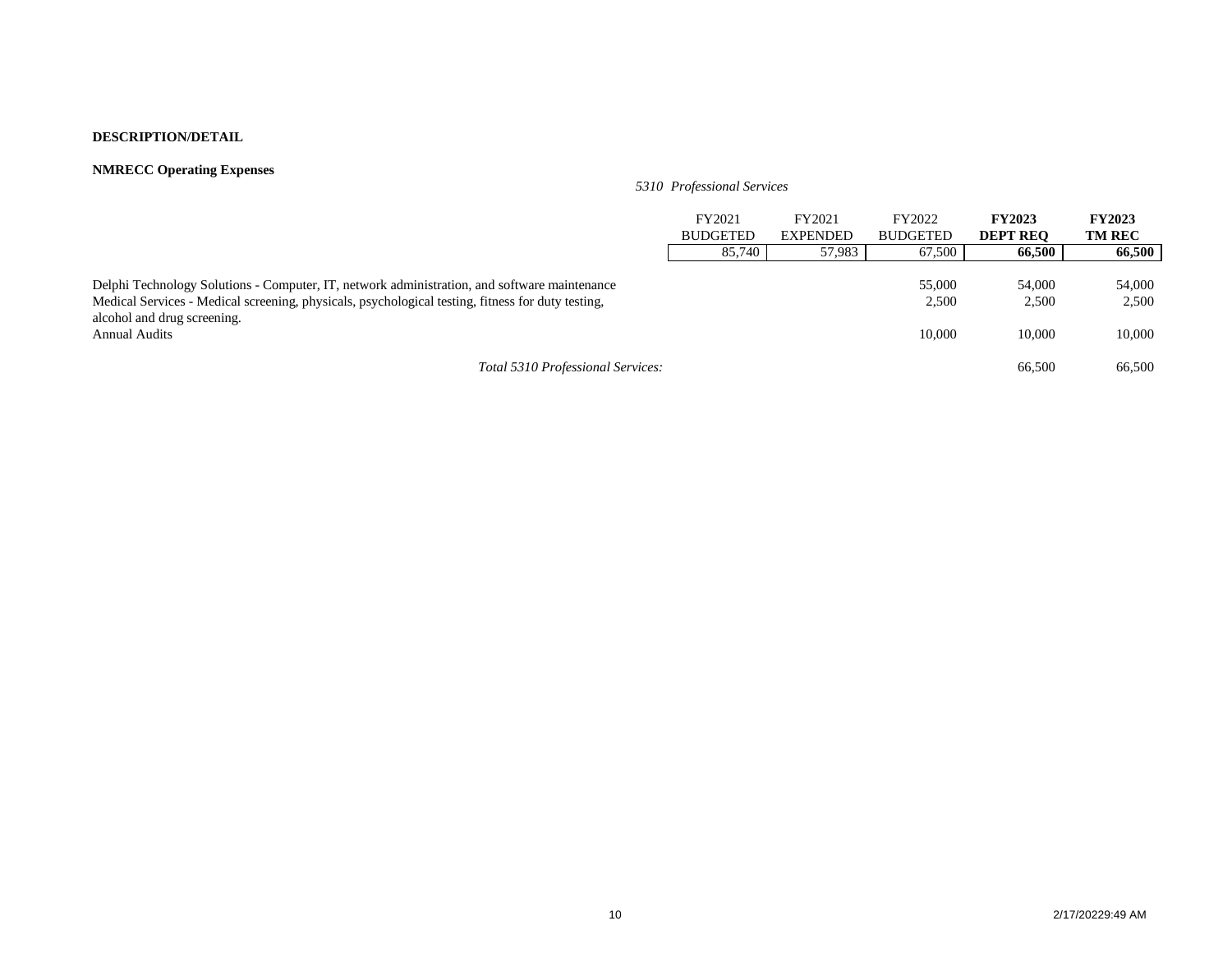### **NMRECC Operating Expenses**

*5310 Professional Services*

|                                                                                                                                                                                                                                  | FY2021<br><b>BUDGETED</b> | FY2021<br><b>EXPENDED</b> | FY2022<br><b>BUDGETED</b> | <b>FY2023</b><br><b>DEPT REO</b> | <b>FY2023</b><br><b>TM REC</b> |
|----------------------------------------------------------------------------------------------------------------------------------------------------------------------------------------------------------------------------------|---------------------------|---------------------------|---------------------------|----------------------------------|--------------------------------|
|                                                                                                                                                                                                                                  | 85,740                    | 57,983                    | 67,500                    | 66,500                           | 66,500                         |
| Delphi Technology Solutions - Computer, IT, network administration, and software maintenance<br>Medical Services - Medical screening, physicals, psychological testing, fitness for duty testing,<br>alcohol and drug screening. |                           |                           | 55,000<br>2,500           | 54,000<br>2,500                  | 54,000<br>2,500                |
| <b>Annual Audits</b>                                                                                                                                                                                                             |                           |                           | 10,000                    | 10.000                           | 10,000                         |
| Total 5310 Professional Services:                                                                                                                                                                                                |                           |                           |                           | 66,500                           | 66,500                         |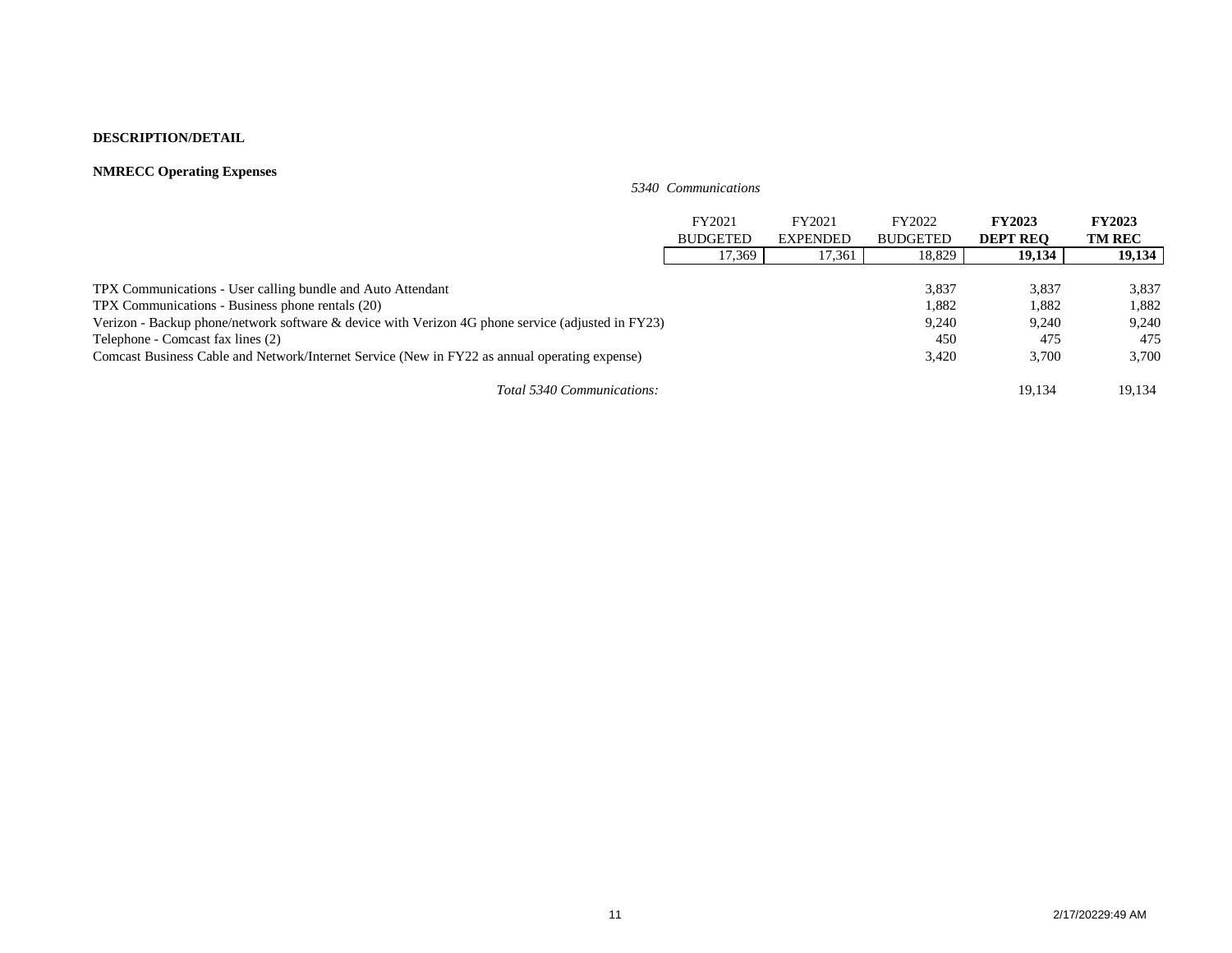### **NMRECC Operating Expenses**

*5340 Communications*

|                                                                                                   | FY2021          | FY2021          | FY2022          | <b>FY2023</b>   | <b>FY2023</b> |
|---------------------------------------------------------------------------------------------------|-----------------|-----------------|-----------------|-----------------|---------------|
|                                                                                                   | <b>BUDGETED</b> | <b>EXPENDED</b> | <b>BUDGETED</b> | <b>DEPT REO</b> | <b>TM REC</b> |
|                                                                                                   | 17,369          | 17,361          | 18,829          | 19,134          | 19,134        |
|                                                                                                   |                 |                 |                 |                 |               |
| TPX Communications - User calling bundle and Auto Attendant                                       |                 |                 | 3,837           | 3,837           | 3,837         |
| TPX Communications - Business phone rentals (20)                                                  |                 |                 | 1,882           | 1,882           | 1,882         |
| Verizon - Backup phone/network software & device with Verizon 4G phone service (adjusted in FY23) |                 |                 | 9,240           | 9,240           | 9,240         |
| Telephone - Comcast fax lines (2)                                                                 |                 |                 | 450             | 475             | 475           |
| Comcast Business Cable and Network/Internet Service (New in FY22 as annual operating expense)     |                 |                 | 3,420           | 3,700           | 3,700         |
| Total 5340 Communications:                                                                        |                 |                 |                 | 19.134          | 19.134        |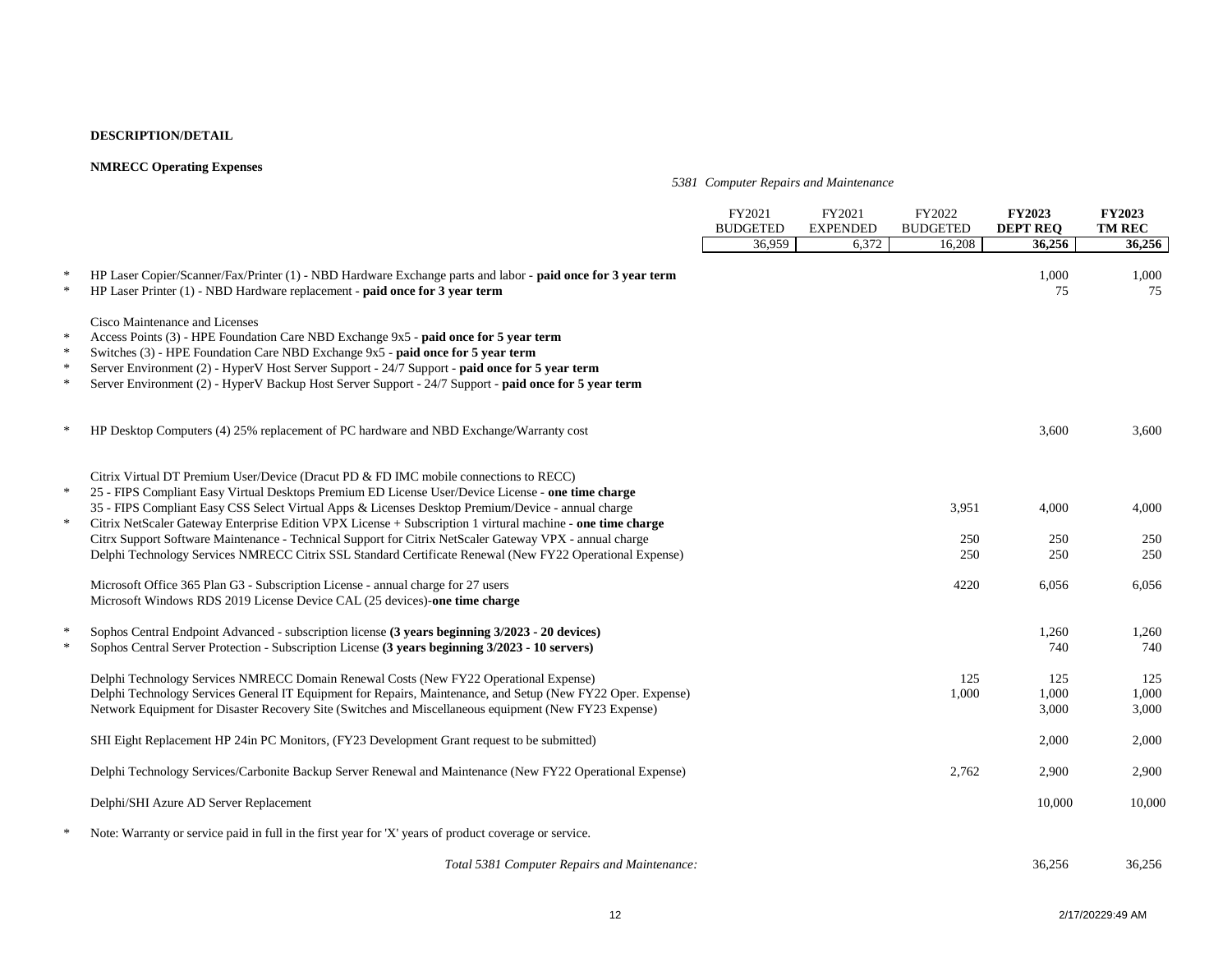### **NMRECC Operating Expenses**

### *5381 Computer Repairs and Maintenance*

|                                      |                                                                                                                                                                                                                                                                                                                                                                                                                                                                                                                             | FY2021<br><b>BUDGETED</b> | FY2021<br><b>EXPENDED</b> | FY2022<br><b>BUDGETED</b> | <b>FY2023</b><br><b>DEPT REO</b> | <b>FY2023</b><br><b>TM REC</b> |
|--------------------------------------|-----------------------------------------------------------------------------------------------------------------------------------------------------------------------------------------------------------------------------------------------------------------------------------------------------------------------------------------------------------------------------------------------------------------------------------------------------------------------------------------------------------------------------|---------------------------|---------------------------|---------------------------|----------------------------------|--------------------------------|
|                                      |                                                                                                                                                                                                                                                                                                                                                                                                                                                                                                                             | 36,959                    | 6,372                     | 16,208                    | 36,256                           | 36,256                         |
| $\ast$<br>$\ast$                     | HP Laser Copier/Scanner/Fax/Printer (1) - NBD Hardware Exchange parts and labor - paid once for 3 year term<br>HP Laser Printer (1) - NBD Hardware replacement - paid once for 3 year term                                                                                                                                                                                                                                                                                                                                  |                           |                           |                           | 1,000<br>75                      | 1,000<br>75                    |
| $\ast$<br>$\ast$<br>$\ast$<br>$\ast$ | Cisco Maintenance and Licenses<br>Access Points (3) - HPE Foundation Care NBD Exchange 9x5 - paid once for 5 year term<br>Switches (3) - HPE Foundation Care NBD Exchange 9x5 - paid once for 5 year term<br>Server Environment (2) - HyperV Host Server Support - 24/7 Support - paid once for 5 year term<br>Server Environment (2) - HyperV Backup Host Server Support - 24/7 Support - paid once for 5 year term                                                                                                        |                           |                           |                           |                                  |                                |
|                                      | HP Desktop Computers (4) 25% replacement of PC hardware and NBD Exchange/Warranty cost                                                                                                                                                                                                                                                                                                                                                                                                                                      |                           |                           |                           | 3,600                            | 3,600                          |
| $\ast$<br>$\ast$                     | Citrix Virtual DT Premium User/Device (Dracut PD & FD IMC mobile connections to RECC)<br>25 - FIPS Compliant Easy Virtual Desktops Premium ED License User/Device License - one time charge<br>35 - FIPS Compliant Easy CSS Select Virtual Apps & Licenses Desktop Premium/Device - annual charge<br>Citrix NetScaler Gateway Enterprise Edition VPX License + Subscription 1 virtural machine - one time charge<br>Citrx Support Software Maintenance - Technical Support for Citrix NetScaler Gateway VPX - annual charge |                           |                           | 3,951<br>250              | 4,000<br>250                     | 4,000<br>250                   |
|                                      | Delphi Technology Services NMRECC Citrix SSL Standard Certificate Renewal (New FY22 Operational Expense)                                                                                                                                                                                                                                                                                                                                                                                                                    |                           |                           | 250                       | 250                              | 250                            |
|                                      | Microsoft Office 365 Plan G3 - Subscription License - annual charge for 27 users<br>Microsoft Windows RDS 2019 License Device CAL (25 devices)-one time charge                                                                                                                                                                                                                                                                                                                                                              |                           |                           | 4220                      | 6,056                            | 6,056                          |
| $\ast$                               | Sophos Central Endpoint Advanced - subscription license (3 years beginning 3/2023 - 20 devices)<br>Sophos Central Server Protection - Subscription License (3 years beginning 3/2023 - 10 servers)                                                                                                                                                                                                                                                                                                                          |                           |                           |                           | 1,260<br>740                     | 1,260<br>740                   |
|                                      | Delphi Technology Services NMRECC Domain Renewal Costs (New FY22 Operational Expense)<br>Delphi Technology Services General IT Equipment for Repairs, Maintenance, and Setup (New FY22 Oper. Expense)<br>Network Equipment for Disaster Recovery Site (Switches and Miscellaneous equipment (New FY23 Expense)                                                                                                                                                                                                              |                           |                           | 125<br>1,000              | 125<br>1,000<br>3,000            | 125<br>1,000<br>3,000          |
|                                      | SHI Eight Replacement HP 24in PC Monitors, (FY23 Development Grant request to be submitted)                                                                                                                                                                                                                                                                                                                                                                                                                                 |                           |                           |                           | 2,000                            | 2,000                          |
|                                      | Delphi Technology Services/Carbonite Backup Server Renewal and Maintenance (New FY22 Operational Expense)                                                                                                                                                                                                                                                                                                                                                                                                                   |                           |                           | 2,762                     | 2,900                            | 2,900                          |
|                                      | Delphi/SHI Azure AD Server Replacement                                                                                                                                                                                                                                                                                                                                                                                                                                                                                      |                           |                           |                           | 10,000                           | 10,000                         |
|                                      | Note: Warranty or service paid in full in the first year for 'X' years of product coverage or service.                                                                                                                                                                                                                                                                                                                                                                                                                      |                           |                           |                           |                                  |                                |
|                                      | Total 5381 Computer Repairs and Maintenance:                                                                                                                                                                                                                                                                                                                                                                                                                                                                                |                           |                           |                           | 36,256                           | 36,256                         |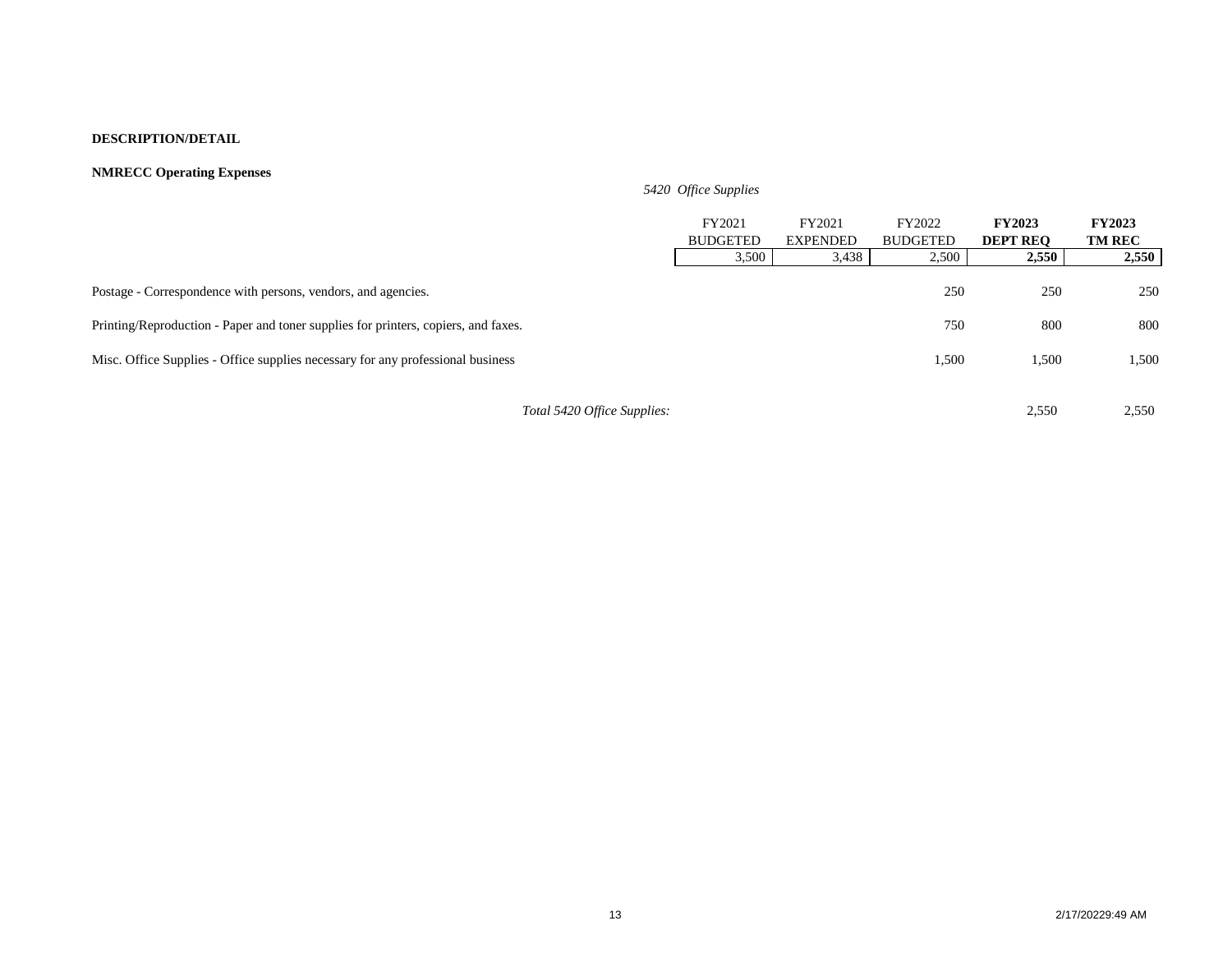### **NMRECC Operating Expenses**

|                                                                                    | 5420 Office Supplies      |                           |                           |                                  |                                |
|------------------------------------------------------------------------------------|---------------------------|---------------------------|---------------------------|----------------------------------|--------------------------------|
|                                                                                    | FY2021<br><b>BUDGETED</b> | FY2021<br><b>EXPENDED</b> | FY2022<br><b>BUDGETED</b> | <b>FY2023</b><br><b>DEPT REO</b> | <b>FY2023</b><br><b>TM REC</b> |
|                                                                                    | 3,500                     | 3,438                     | 2,500                     | 2,550                            | 2,550                          |
| Postage - Correspondence with persons, vendors, and agencies.                      |                           |                           | 250                       | 250                              | 250                            |
| Printing/Reproduction - Paper and toner supplies for printers, copiers, and faxes. |                           |                           | 750                       | 800                              | 800                            |
| Misc. Office Supplies - Office supplies necessary for any professional business    |                           |                           | 1,500                     | 1,500                            | 1,500                          |
| Total 5420 Office Supplies:                                                        |                           |                           |                           | 2,550                            | 2,550                          |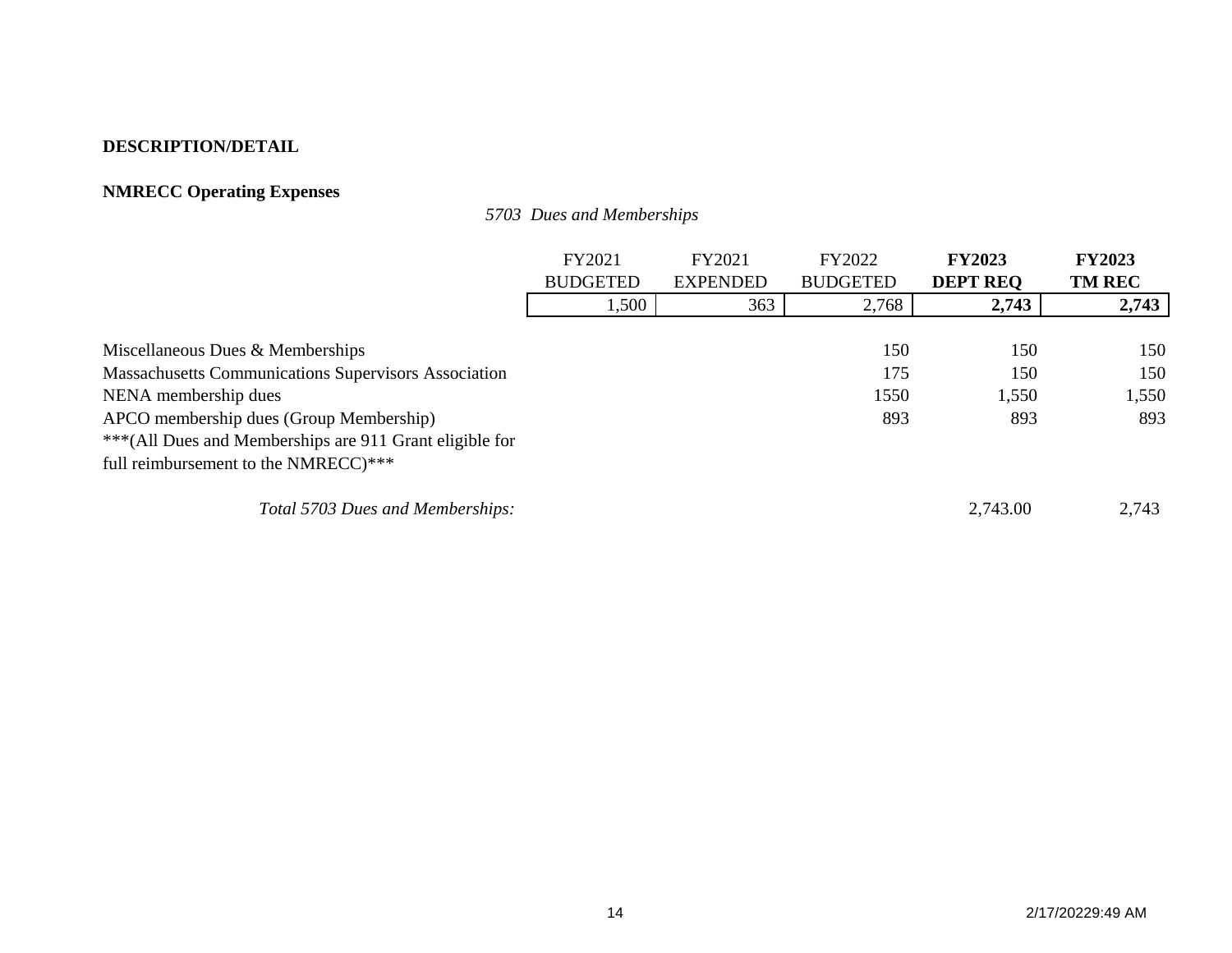# **NMRECC Operating Expenses**

*5703 Dues and Memberships*

|                                                             | FY2021          | FY2021          | FY2022          | <b>FY2023</b>   | <b>FY2023</b> |
|-------------------------------------------------------------|-----------------|-----------------|-----------------|-----------------|---------------|
|                                                             | <b>BUDGETED</b> | <b>EXPENDED</b> | <b>BUDGETED</b> | <b>DEPT REQ</b> | <b>TM REC</b> |
|                                                             | 1,500           | 363             | 2,768           | 2,743           | 2,743         |
|                                                             |                 |                 |                 |                 |               |
| Miscellaneous Dues & Memberships                            |                 |                 | 150             | 150             | 150           |
| <b>Massachusetts Communications Supervisors Association</b> |                 |                 | 175             | 150             | 150           |
| NENA membership dues                                        |                 |                 | 1550            | 1,550           | 1,550         |
| APCO membership dues (Group Membership)                     |                 |                 | 893             | 893             | 893           |
| *** (All Dues and Memberships are 911 Grant eligible for    |                 |                 |                 |                 |               |
| full reimbursement to the NMRECC)***                        |                 |                 |                 |                 |               |
| Total 5703 Dues and Memberships:                            |                 |                 |                 | 2,743.00        | 2,743         |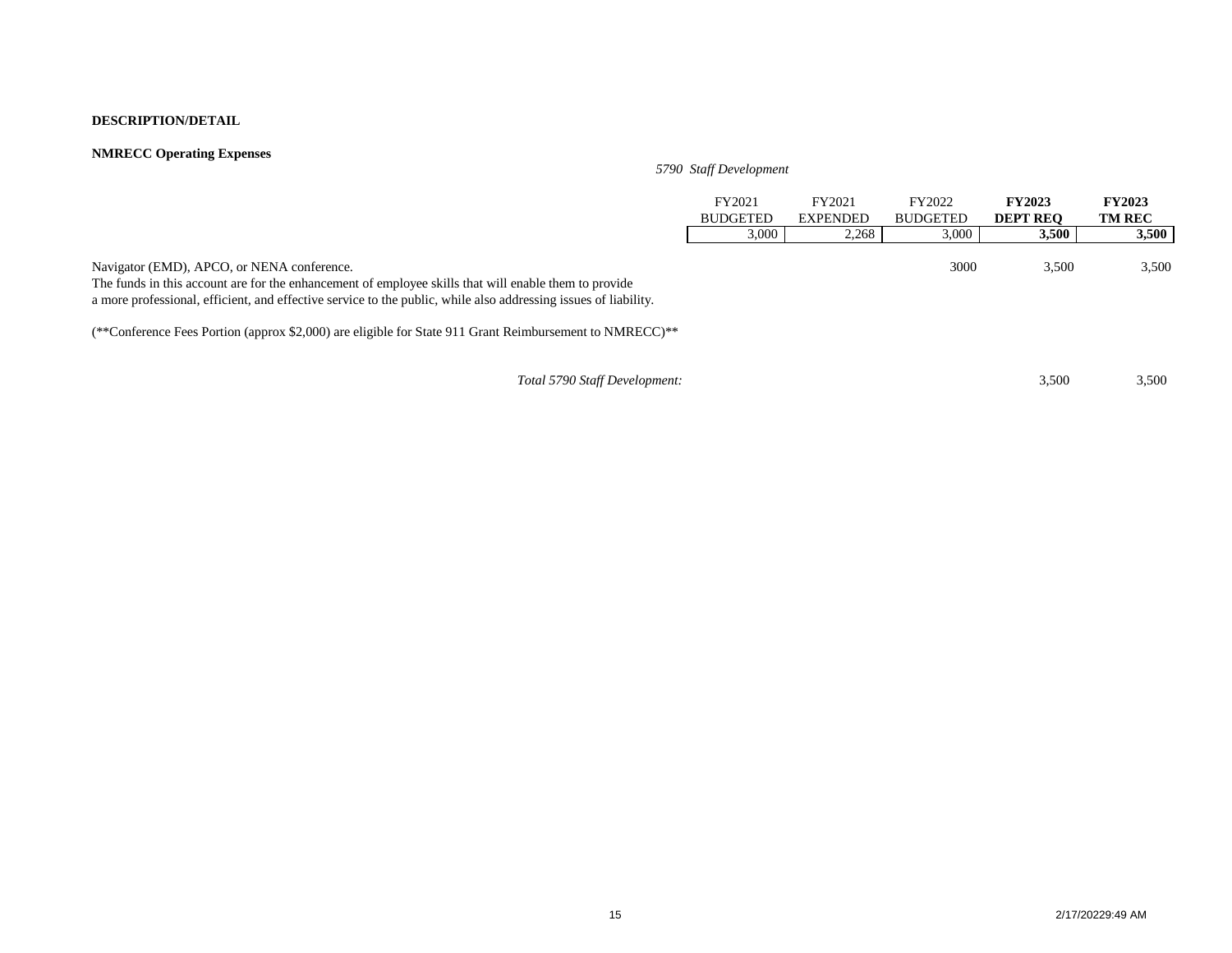### **NMRECC Operating Expenses**

### *5790 Staff Development*

|                                                                                                                                                                                                                                                                        | FY2021<br><b>BUDGETED</b> | FY2021<br><b>EXPENDED</b> | FY2022<br><b>BUDGETED</b> | <b>FY2023</b><br><b>DEPT REO</b> | <b>FY2023</b><br><b>TM REC</b> |
|------------------------------------------------------------------------------------------------------------------------------------------------------------------------------------------------------------------------------------------------------------------------|---------------------------|---------------------------|---------------------------|----------------------------------|--------------------------------|
|                                                                                                                                                                                                                                                                        | 3,000                     | 2,268                     | 3,000                     | 3,500                            | 3,500                          |
| Navigator (EMD), APCO, or NENA conference.<br>The funds in this account are for the enhancement of employee skills that will enable them to provide<br>a more professional, efficient, and effective service to the public, while also addressing issues of liability. |                           |                           | 3000                      | 3,500                            | 3,500                          |

(\*\*Conference Fees Portion (approx \$2,000) are eligible for State 911 Grant Reimbursement to NMRECC)\*\*

*Total 5790 Staff Development:* 3,500 3,500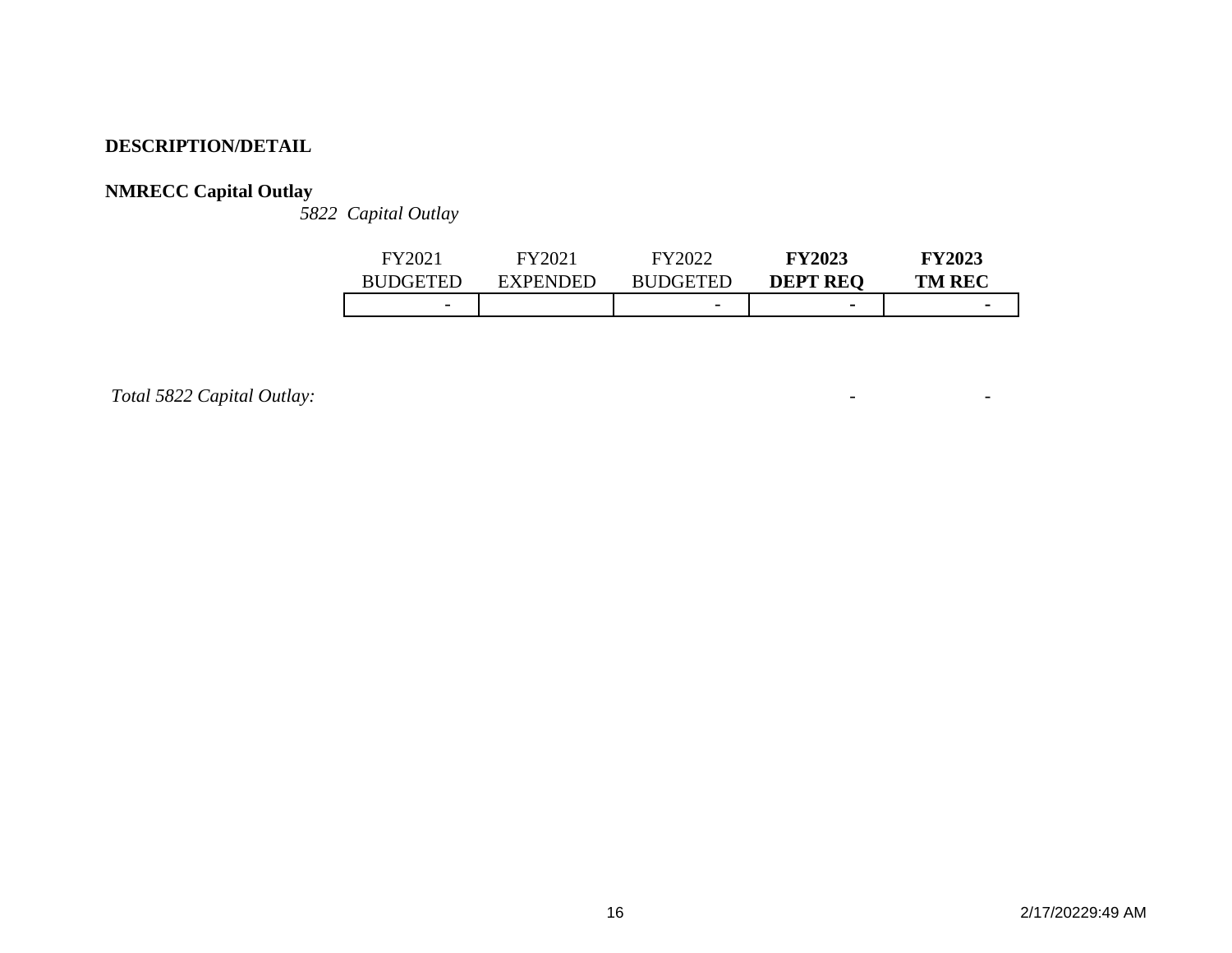# **NMRECC Capital Outlay**

*5822 Capital Outlay*

| FY202                    |                 | FY2022                   | <b>FY2023</b>   | <b>FY2023</b> |
|--------------------------|-----------------|--------------------------|-----------------|---------------|
| <b>BUDGETED</b>          | <b>EXPENDED</b> | <b>BUDGETED</b>          | <b>DEPT REQ</b> | <b>TM REC</b> |
| $\overline{\phantom{0}}$ |                 | $\overline{\phantom{0}}$ | $\blacksquare$  |               |

*Total 5822 Capital Outlay:* - -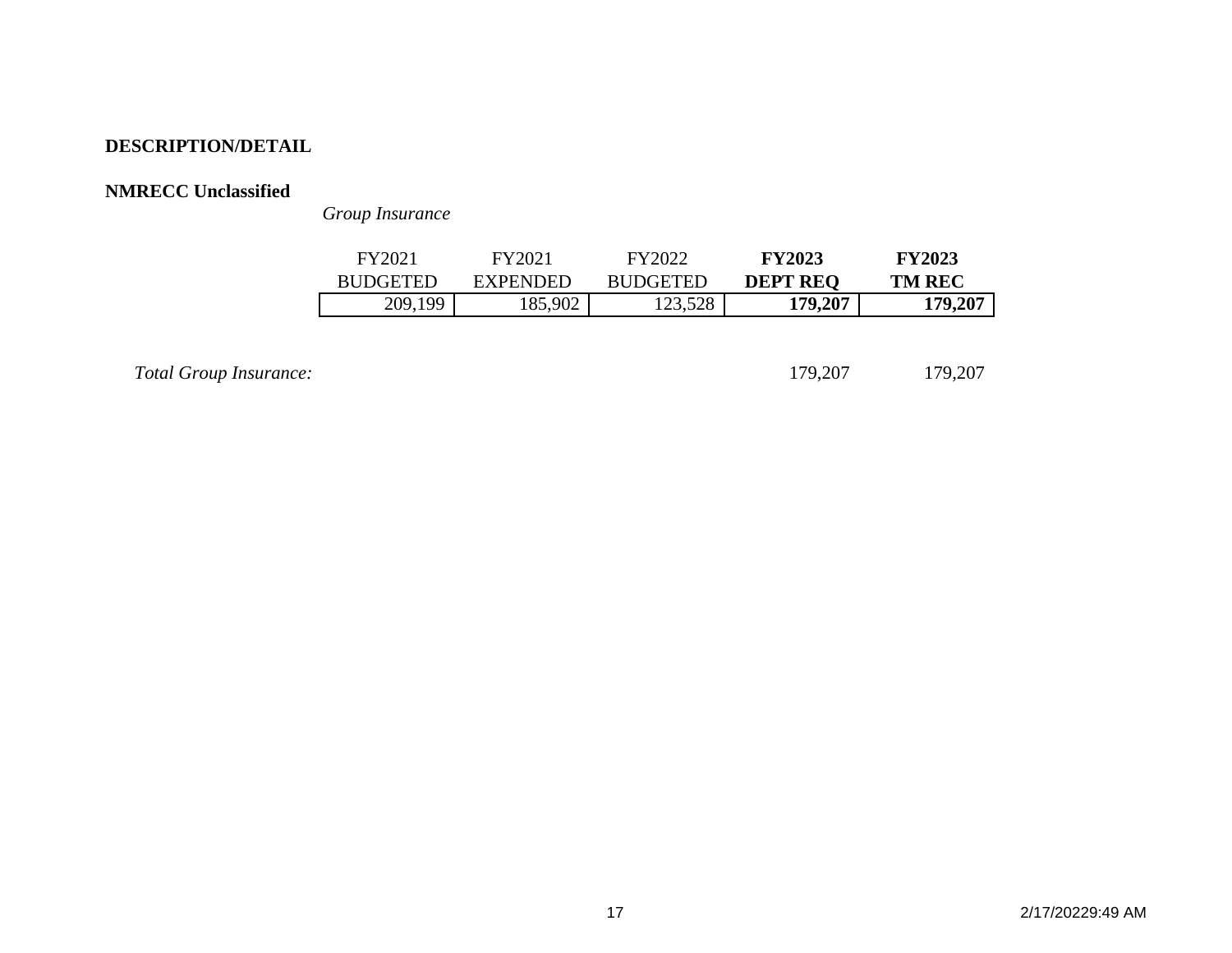## **NMRECC Unclassified**

*Group Insurance*

| FY2021          | FY2021          | FY2022          | <b>FY2023</b>   | <b>FY2023</b> |
|-----------------|-----------------|-----------------|-----------------|---------------|
| <b>RUDGETED</b> | <b>EXPENDED</b> | <b>RUDGETED</b> | <b>DEPT REO</b> | <b>TM REC</b> |
| 209,199         | 85,902          | 123,528         | 179,207         | 179,207       |

*Total Group Insurance:* 179,207 179,207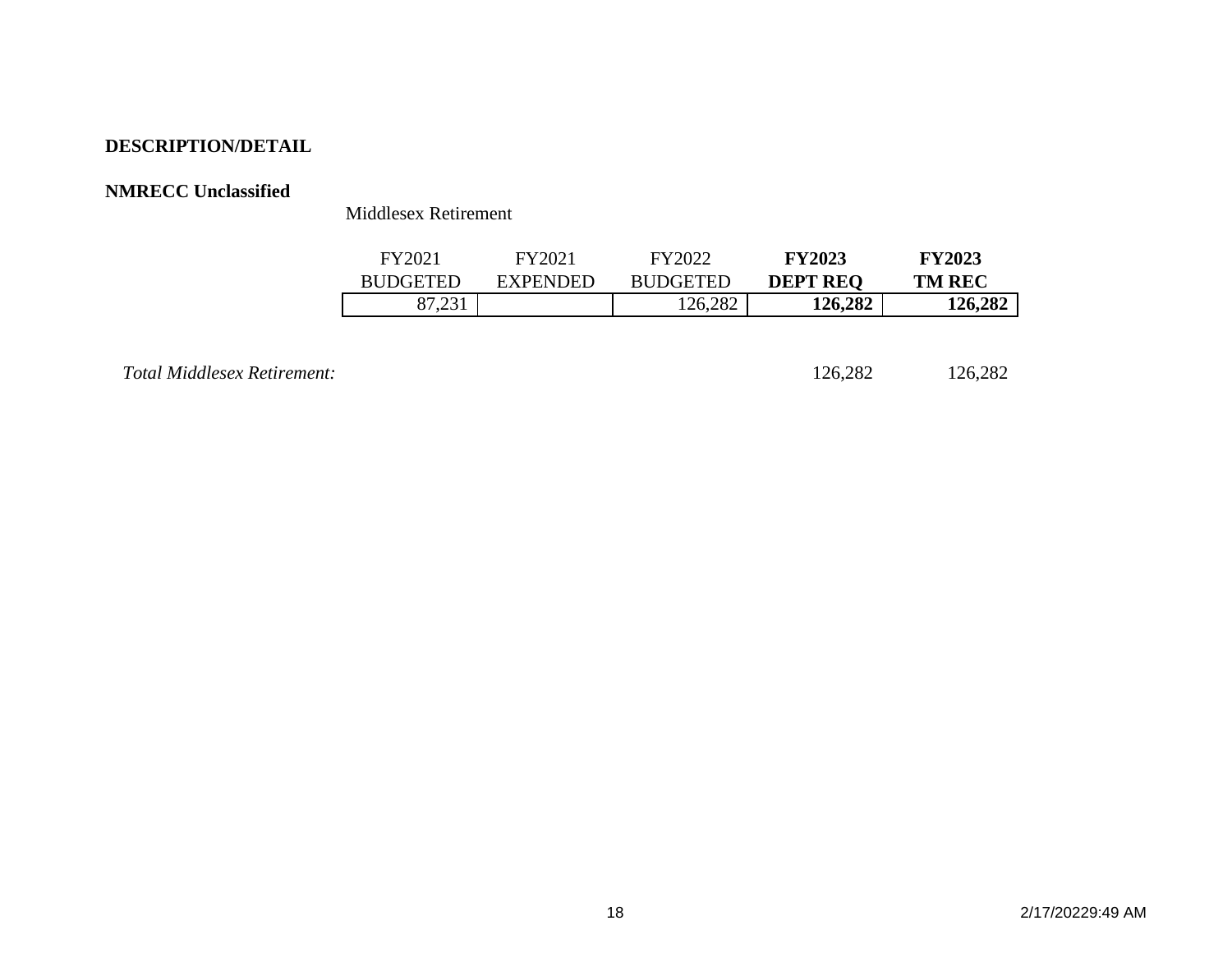## **NMRECC Unclassified**

Middlesex Retirement

| FY2021          | EY2021          | FY2022          | <b>FY2023</b>   | <b>FY2023</b> |
|-----------------|-----------------|-----------------|-----------------|---------------|
| <b>BUDGETED</b> | <b>EXPENDED</b> | <b>BUDGETED</b> | <b>DEPT REQ</b> | <b>TM REC</b> |
| 01.291          |                 | 126,282         | 126,282         | 126,282       |

*Total Middlesex Retirement:* 126,282 126,282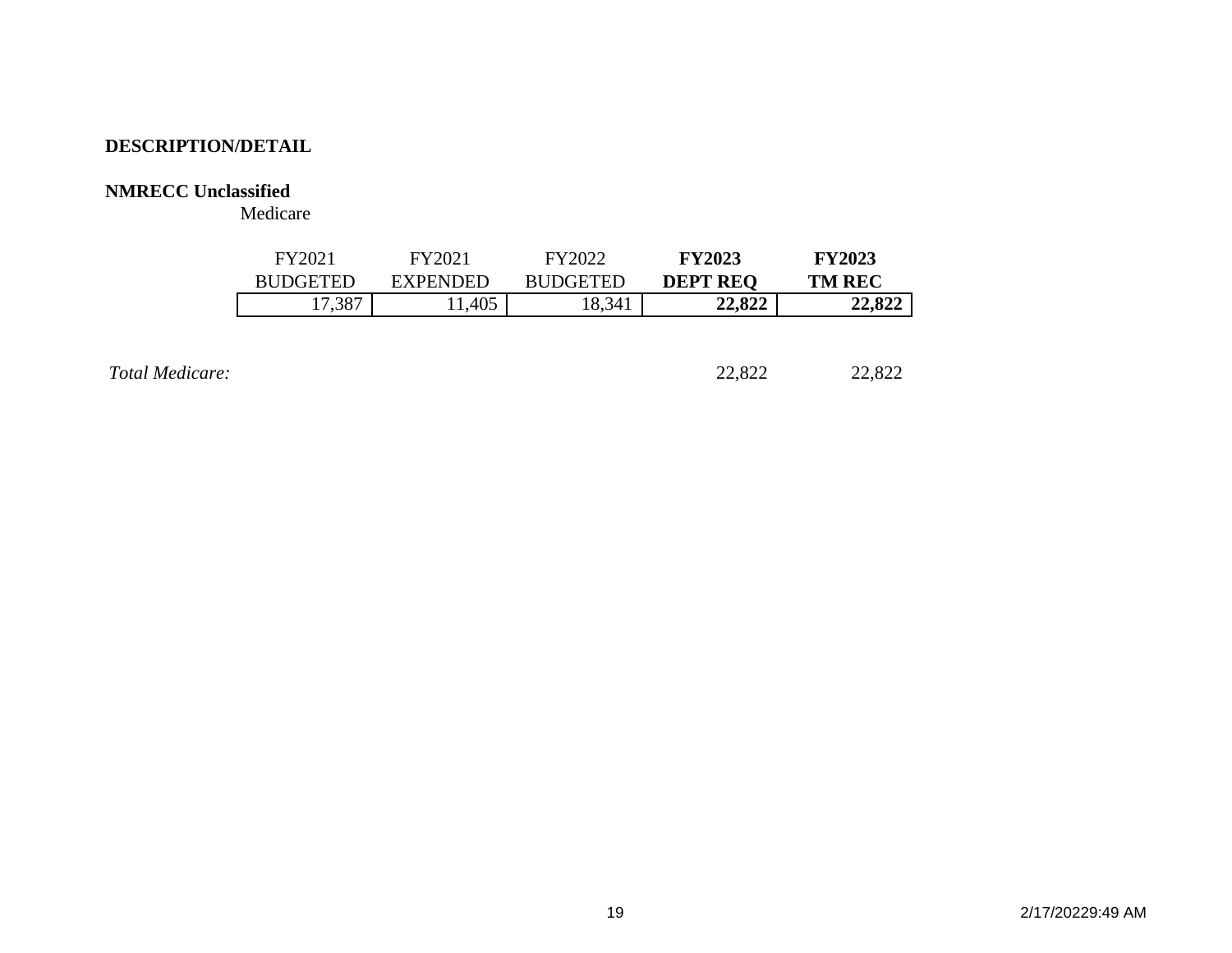## **NMRECC Unclassified**

Medicare

| FY2021          | FY2021          | FY2022          | <b>FY2023</b>   | <b>FY2023</b> |
|-----------------|-----------------|-----------------|-----------------|---------------|
| <b>BUDGETED</b> | <b>EXPENDED</b> | <b>BUDGETED</b> | <b>DEPT REQ</b> | <b>TM REC</b> |
| 17,387          | 1,405           | 8,341           | 22,822          | 22,822        |
|                 |                 |                 |                 |               |

**Total Medicare:** 22,822 22,822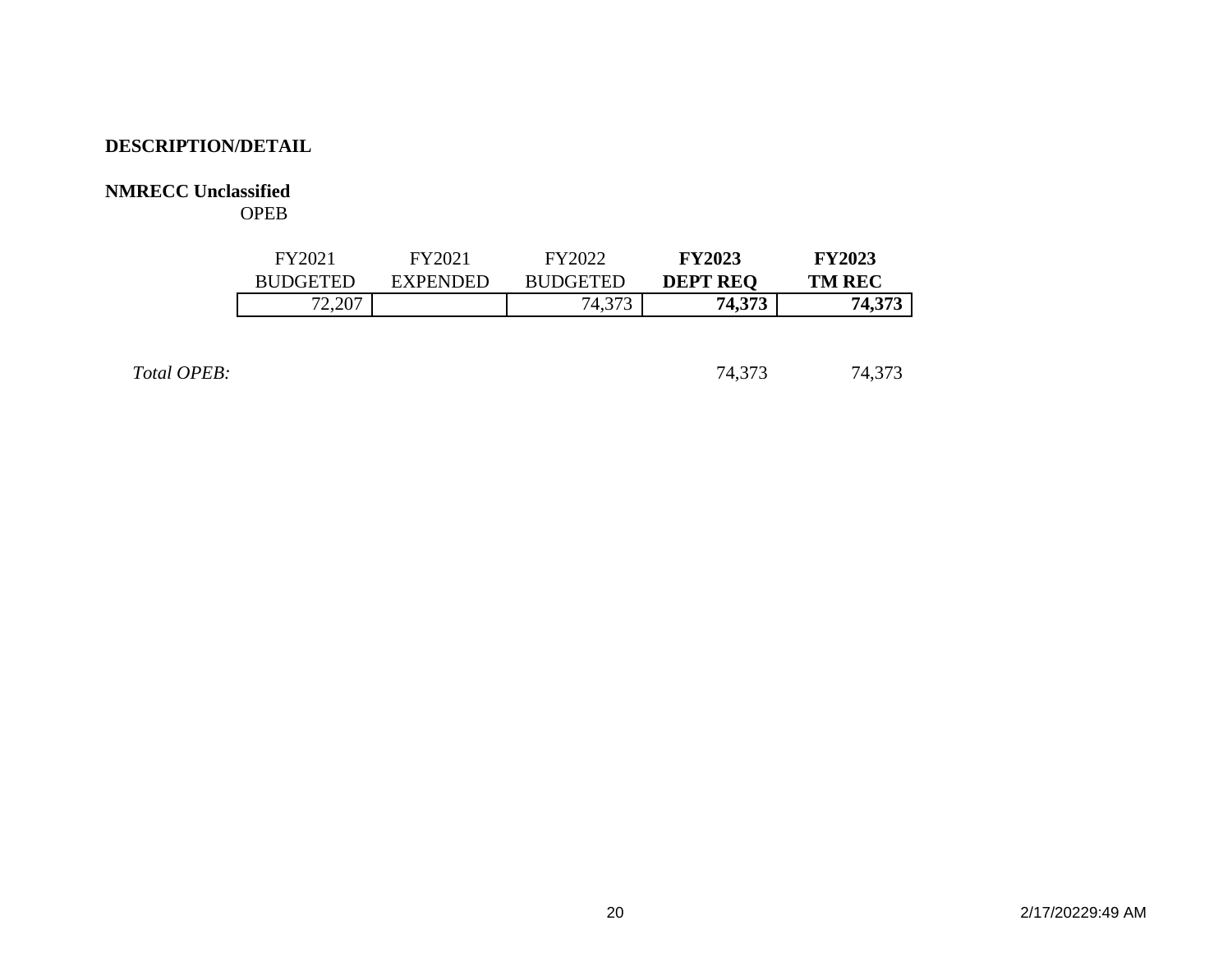## **NMRECC Unclassified**

OPEB

| FY2021          | FY2021          | EY2022          | <b>FY2023</b>   | <b>FY2023</b> |
|-----------------|-----------------|-----------------|-----------------|---------------|
| <b>RHDGETED</b> | <b>EXPENDED</b> | <b>BUDGETED</b> | <b>DEPT REQ</b> | <b>TM REC</b> |
| 72,207          |                 | 74,373          | 74,373          | 74,373        |

Total OPEB: 24,373 74,373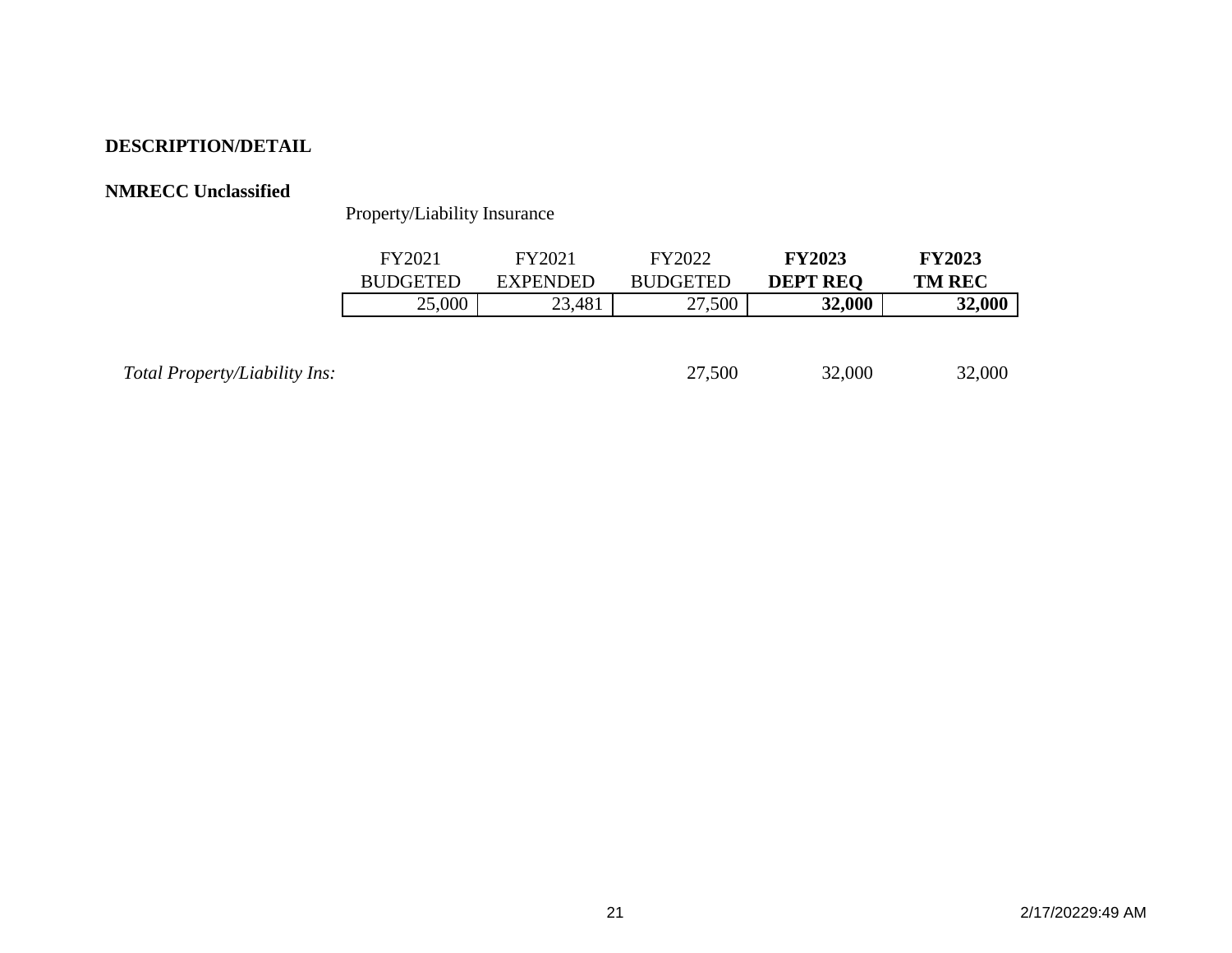### **NMRECC Unclassified**

Property/Liability Insurance

|                               | FY2021          | FY2021          | FY2022          | <b>FY2023</b>   | <b>FY2023</b> |
|-------------------------------|-----------------|-----------------|-----------------|-----------------|---------------|
|                               | <b>BUDGETED</b> | <b>EXPENDED</b> | <b>BUDGETED</b> | <b>DEPT REQ</b> | <b>TM REC</b> |
|                               | 25,000          | 23,481          | 27,500          | 32,000          | 32,000        |
|                               |                 |                 |                 |                 |               |
|                               |                 |                 |                 |                 |               |
| Total Property/Liability Ins: |                 |                 | 27,500          | 32,000          | 32,000        |